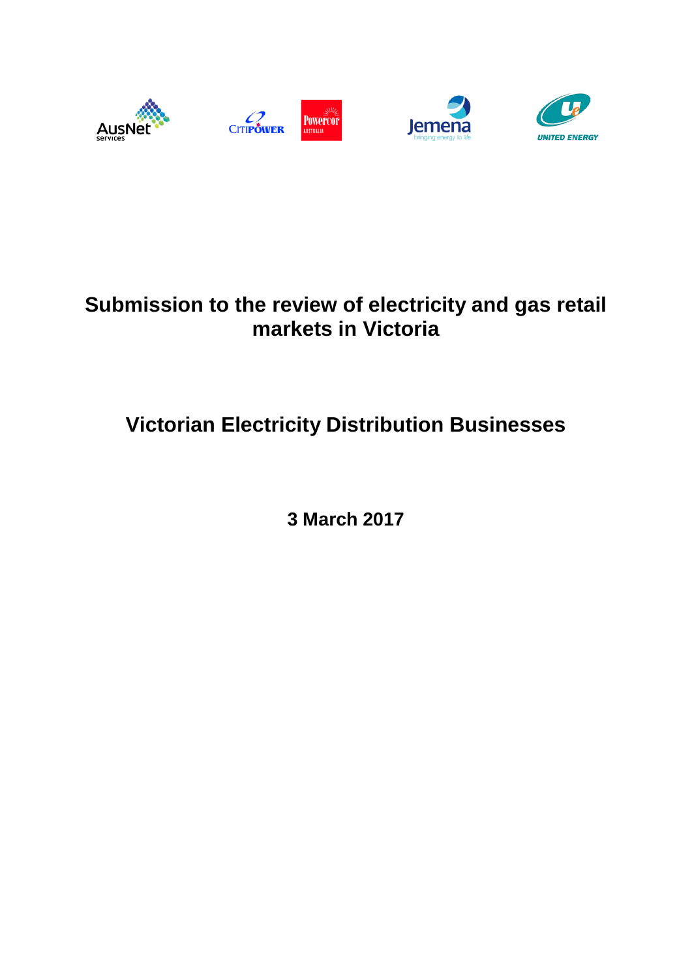

# **Submission to the review of electricity and gas retail markets in Victoria**

# **Victorian Electricity Distribution Businesses**

**3 March 2017**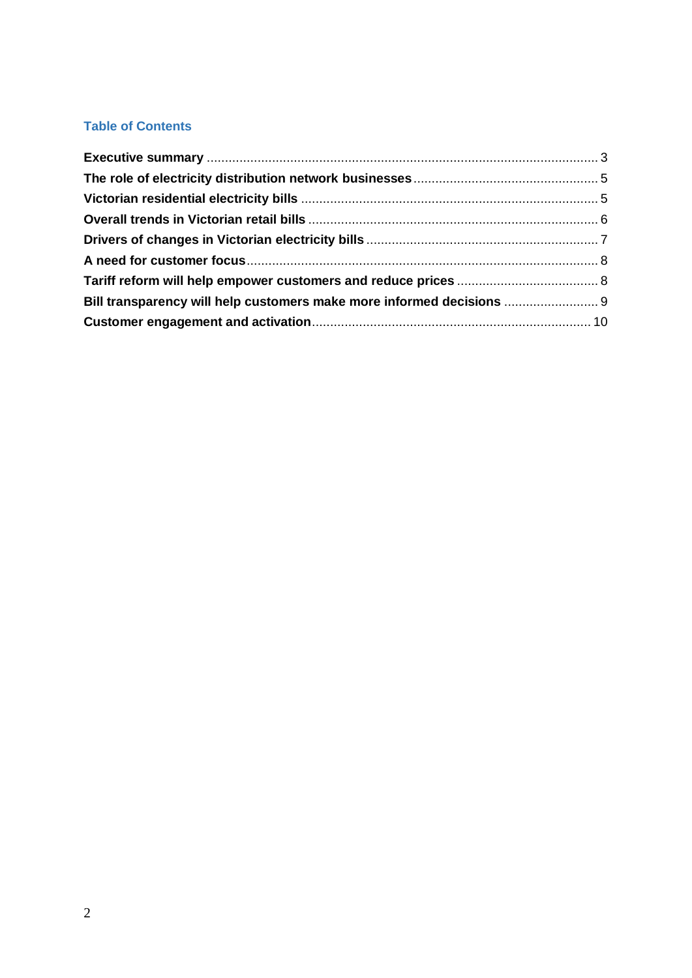# **Table of Contents**

| Bill transparency will help customers make more informed decisions  9 |  |
|-----------------------------------------------------------------------|--|
|                                                                       |  |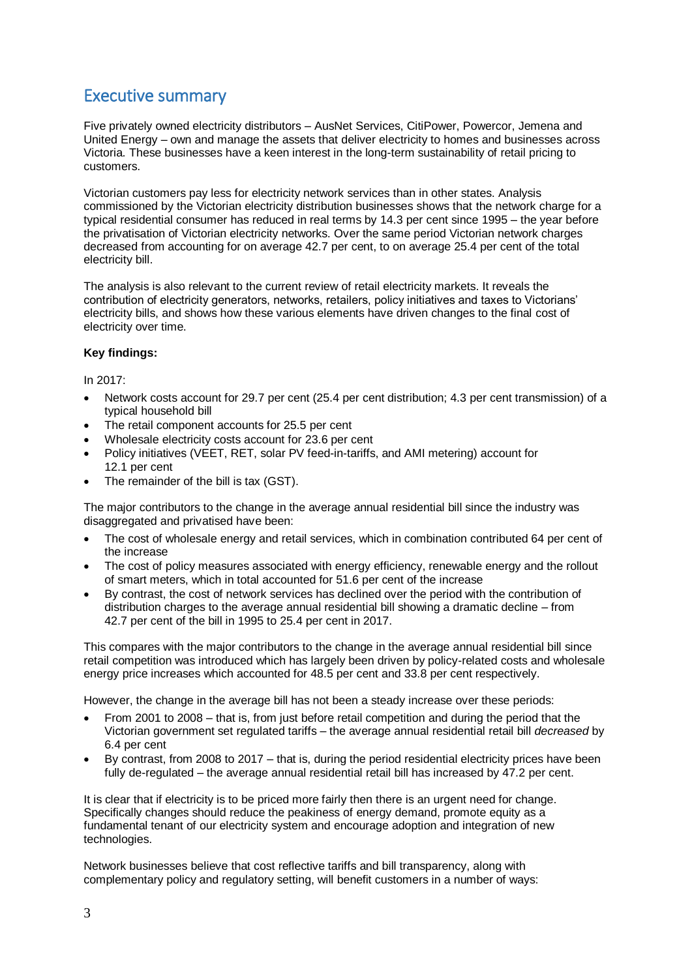# <span id="page-2-0"></span>Executive summary

Five privately owned electricity distributors – AusNet Services, CitiPower, Powercor, Jemena and United Energy – own and manage the assets that deliver electricity to homes and businesses across Victoria. These businesses have a keen interest in the long-term sustainability of retail pricing to customers.

Victorian customers pay less for electricity network services than in other states. Analysis commissioned by the Victorian electricity distribution businesses shows that the network charge for a typical residential consumer has reduced in real terms by 14.3 per cent since 1995 – the year before the privatisation of Victorian electricity networks. Over the same period Victorian network charges decreased from accounting for on average 42.7 per cent, to on average 25.4 per cent of the total electricity bill.

The analysis is also relevant to the current review of retail electricity markets. It reveals the contribution of electricity generators, networks, retailers, policy initiatives and taxes to Victorians' electricity bills, and shows how these various elements have driven changes to the final cost of electricity over time.

# **Key findings:**

In 2017:

- Network costs account for 29.7 per cent (25.4 per cent distribution; 4.3 per cent transmission) of a typical household bill
- The retail component accounts for 25.5 per cent
- Wholesale electricity costs account for 23.6 per cent
- Policy initiatives (VEET, RET, solar PV feed-in-tariffs, and AMI metering) account for 12.1 per cent
- The remainder of the bill is tax (GST).

The major contributors to the change in the average annual residential bill since the industry was disaggregated and privatised have been:

- The cost of wholesale energy and retail services, which in combination contributed 64 per cent of the increase
- The cost of policy measures associated with energy efficiency, renewable energy and the rollout of smart meters, which in total accounted for 51.6 per cent of the increase
- By contrast, the cost of network services has declined over the period with the contribution of distribution charges to the average annual residential bill showing a dramatic decline – from 42.7 per cent of the bill in 1995 to 25.4 per cent in 2017.

This compares with the major contributors to the change in the average annual residential bill since retail competition was introduced which has largely been driven by policy-related costs and wholesale energy price increases which accounted for 48.5 per cent and 33.8 per cent respectively.

However, the change in the average bill has not been a steady increase over these periods:

- From 2001 to 2008 that is, from just before retail competition and during the period that the Victorian government set regulated tariffs – the average annual residential retail bill *decreased* by 6.4 per cent
- By contrast, from 2008 to 2017 that is, during the period residential electricity prices have been fully de-regulated – the average annual residential retail bill has increased by 47.2 per cent.

It is clear that if electricity is to be priced more fairly then there is an urgent need for change. Specifically changes should reduce the peakiness of energy demand, promote equity as a fundamental tenant of our electricity system and encourage adoption and integration of new technologies.

Network businesses believe that cost reflective tariffs and bill transparency, along with complementary policy and regulatory setting, will benefit customers in a number of ways: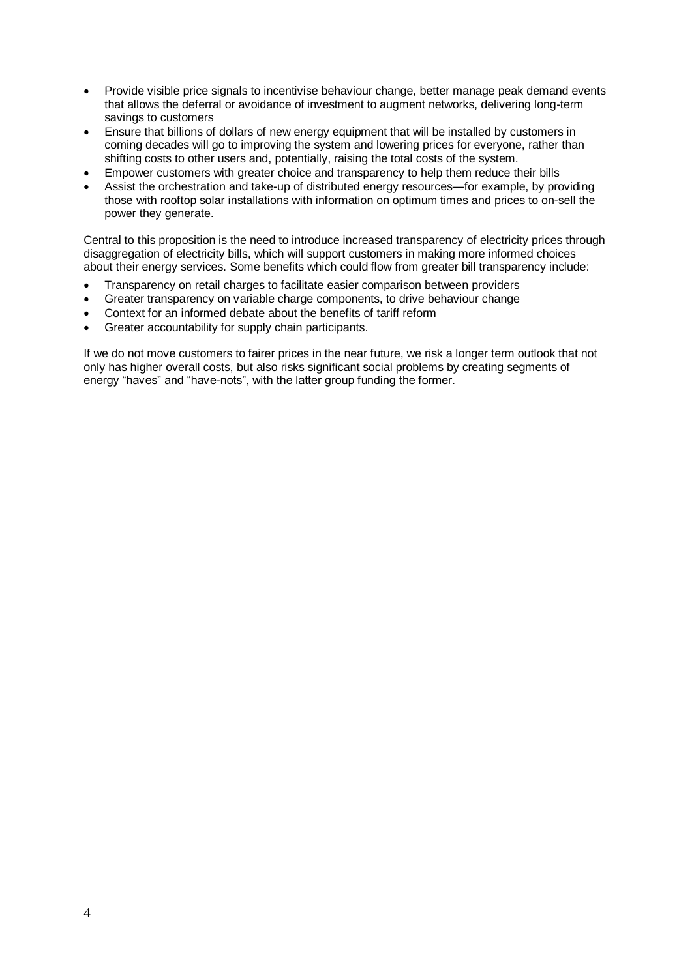- Provide visible price signals to incentivise behaviour change, better manage peak demand events that allows the deferral or avoidance of investment to augment networks, delivering long-term savings to customers
- Ensure that billions of dollars of new energy equipment that will be installed by customers in coming decades will go to improving the system and lowering prices for everyone, rather than shifting costs to other users and, potentially, raising the total costs of the system.
- Empower customers with greater choice and transparency to help them reduce their bills
- Assist the orchestration and take-up of distributed energy resources—for example, by providing those with rooftop solar installations with information on optimum times and prices to on-sell the power they generate.

Central to this proposition is the need to introduce increased transparency of electricity prices through disaggregation of electricity bills, which will support customers in making more informed choices about their energy services. Some benefits which could flow from greater bill transparency include:

- Transparency on retail charges to facilitate easier comparison between providers
- Greater transparency on variable charge components, to drive behaviour change
- Context for an informed debate about the benefits of tariff reform
- Greater accountability for supply chain participants.

If we do not move customers to fairer prices in the near future, we risk a longer term outlook that not only has higher overall costs, but also risks significant social problems by creating segments of energy "haves" and "have-nots", with the latter group funding the former.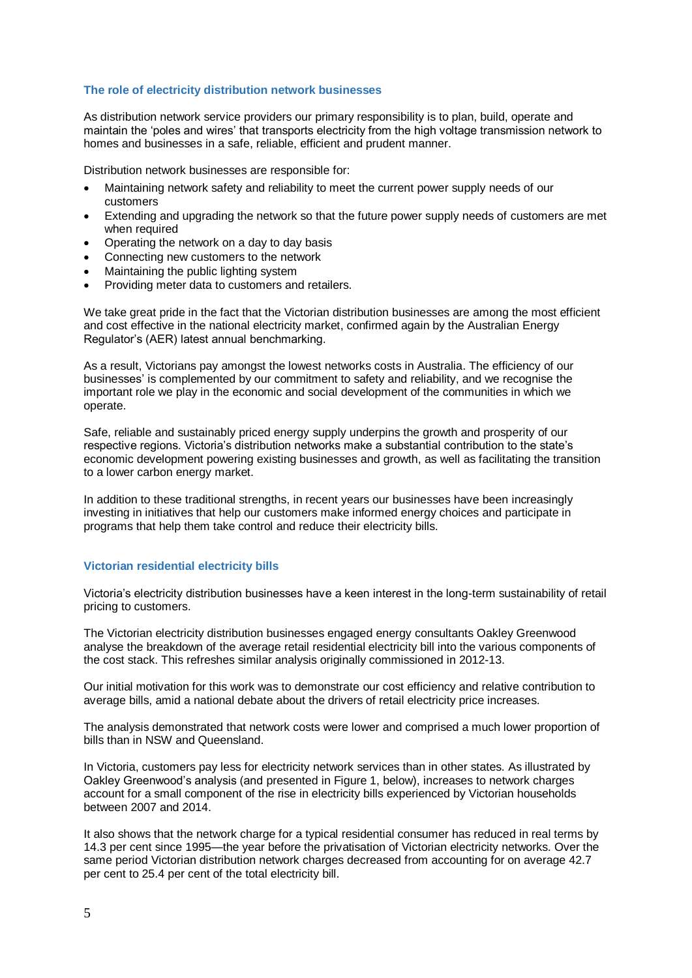#### <span id="page-4-0"></span>**The role of electricity distribution network businesses**

As distribution network service providers our primary responsibility is to plan, build, operate and maintain the 'poles and wires' that transports electricity from the high voltage transmission network to homes and businesses in a safe, reliable, efficient and prudent manner.

Distribution network businesses are responsible for:

- Maintaining network safety and reliability to meet the current power supply needs of our customers
- Extending and upgrading the network so that the future power supply needs of customers are met when required
- Operating the network on a day to day basis
- Connecting new customers to the network
- Maintaining the public lighting system
- Providing meter data to customers and retailers.

We take great pride in the fact that the Victorian distribution businesses are among the most efficient and cost effective in the national electricity market, confirmed again by the Australian Energy Regulator's (AER) latest annual benchmarking.

As a result, Victorians pay amongst the lowest networks costs in Australia. The efficiency of our businesses' is complemented by our commitment to safety and reliability, and we recognise the important role we play in the economic and social development of the communities in which we operate.

Safe, reliable and sustainably priced energy supply underpins the growth and prosperity of our respective regions. Victoria's distribution networks make a substantial contribution to the state's economic development powering existing businesses and growth, as well as facilitating the transition to a lower carbon energy market.

In addition to these traditional strengths, in recent years our businesses have been increasingly investing in initiatives that help our customers make informed energy choices and participate in programs that help them take control and reduce their electricity bills.

## <span id="page-4-1"></span>**Victorian residential electricity bills**

Victoria's electricity distribution businesses have a keen interest in the long-term sustainability of retail pricing to customers.

The Victorian electricity distribution businesses engaged energy consultants Oakley Greenwood analyse the breakdown of the average retail residential electricity bill into the various components of the cost stack. This refreshes similar analysis originally commissioned in 2012-13.

Our initial motivation for this work was to demonstrate our cost efficiency and relative contribution to average bills, amid a national debate about the drivers of retail electricity price increases.

The analysis demonstrated that network costs were lower and comprised a much lower proportion of bills than in NSW and Queensland.

In Victoria, customers pay less for electricity network services than in other states. As illustrated by Oakley Greenwood's analysis (and presented in Figure 1, below), increases to network charges account for a small component of the rise in electricity bills experienced by Victorian households between 2007 and 2014.

It also shows that the network charge for a typical residential consumer has reduced in real terms by 14.3 per cent since 1995—the year before the privatisation of Victorian electricity networks. Over the same period Victorian distribution network charges decreased from accounting for on average 42.7 per cent to 25.4 per cent of the total electricity bill.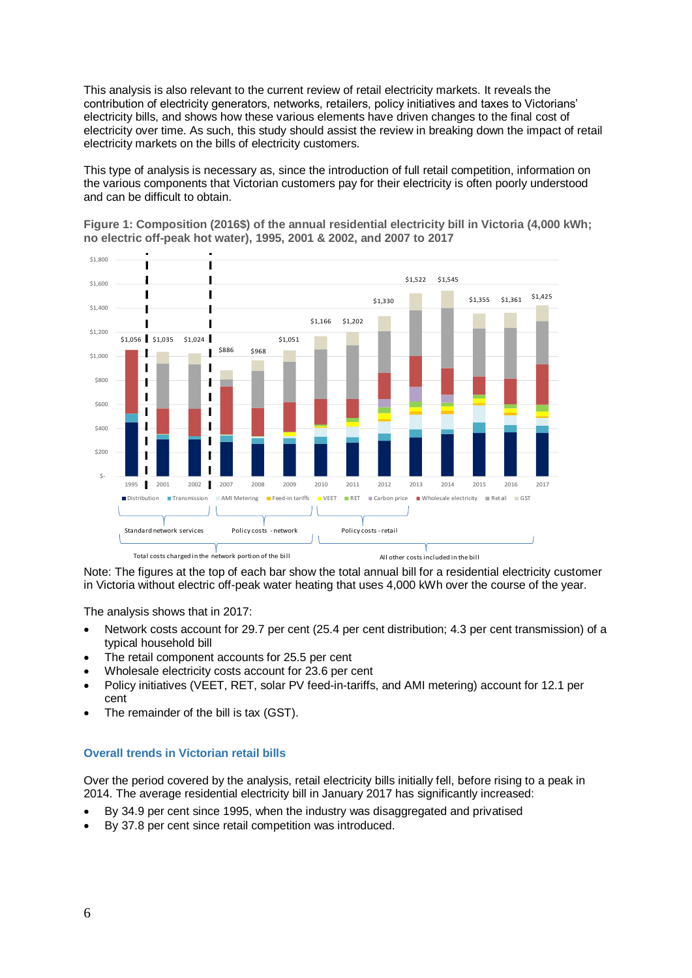This analysis is also relevant to the current review of retail electricity markets. It reveals the contribution of electricity generators, networks, retailers, policy initiatives and taxes to Victorians' electricity bills, and shows how these various elements have driven changes to the final cost of electricity over time. As such, this study should assist the review in breaking down the impact of retail electricity markets on the bills of electricity customers.

This type of analysis is necessary as, since the introduction of full retail competition, information on the various components that Victorian customers pay for their electricity is often poorly understood and can be difficult to obtain.



**Figure 1: Composition (2016\$) of the annual residential electricity bill in Victoria (4,000 kWh; no electric off-peak hot water), 1995, 2001 & 2002, and 2007 to 2017**

Note: The figures at the top of each bar show the total annual bill for a residential electricity customer in Victoria without electric off-peak water heating that uses 4,000 kWh over the course of the year.

The analysis shows that in 2017:

- Network costs account for 29.7 per cent (25.4 per cent distribution; 4.3 per cent transmission) of a typical household bill
- The retail component accounts for 25.5 per cent
- Wholesale electricity costs account for 23.6 per cent
- Policy initiatives (VEET, RET, solar PV feed-in-tariffs, and AMI metering) account for 12.1 per cent
- The remainder of the bill is tax (GST).

#### <span id="page-5-0"></span>**Overall trends in Victorian retail bills**

Over the period covered by the analysis, retail electricity bills initially fell, before rising to a peak in 2014. The average residential electricity bill in January 2017 has significantly increased:

- By 34.9 per cent since 1995, when the industry was disaggregated and privatised
- By 37.8 per cent since retail competition was introduced.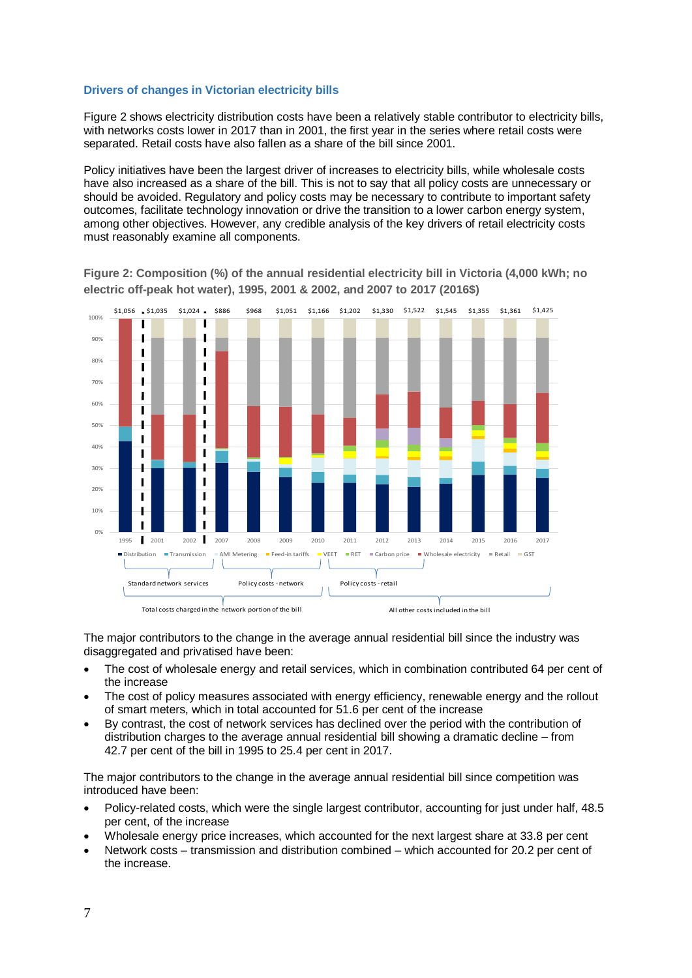#### <span id="page-6-0"></span>**Drivers of changes in Victorian electricity bills**

Figure 2 shows electricity distribution costs have been a relatively stable contributor to electricity bills, with networks costs lower in 2017 than in 2001, the first year in the series where retail costs were separated. Retail costs have also fallen as a share of the bill since 2001.

Policy initiatives have been the largest driver of increases to electricity bills, while wholesale costs have also increased as a share of the bill. This is not to say that all policy costs are unnecessary or should be avoided. Regulatory and policy costs may be necessary to contribute to important safety outcomes, facilitate technology innovation or drive the transition to a lower carbon energy system, among other objectives. However, any credible analysis of the key drivers of retail electricity costs must reasonably examine all components.

\$1,056 \$1,035 \$1,024 \$886 \$968 \$1,051 \$1,166 \$1,202 \$1,330 \$1,522 \$1,545 \$1,355 \$1,361 \$1,425100%  $\overline{\mathbf{I}}$ Т  $\mathbf I$ 90% 4 Ī  $\blacksquare$ 80% ī  $\blacksquare$ I I 70%  $\blacksquare$  $\mathbf{I}$ 60% ī  $\blacksquare$ Ï ı 50%  $\overline{1}$  $\overline{\phantom{a}}$ 40%  $\overline{\phantom{a}}$  $\overline{\mathbf{I}}$ ł 30%  $\overline{\phantom{a}}$ I 20% f Ī 10% I 0% 1995 2001 2002 2007 2008 2009 2010 2011 2012 2013 2014 2015 2016 2017 Distribution Transmission MAMI Metering Feed-in tariffs VEET RET Carbon price Wholesale electricity Retail GST Standard network services Policy costs - network Policy costs - retail Total costs charged in the network portion of the bill All other costs included in the bill

**Figure 2: Composition (%) of the annual residential electricity bill in Victoria (4,000 kWh; no electric off-peak hot water), 1995, 2001 & 2002, and 2007 to 2017 (2016\$)**

The major contributors to the change in the average annual residential bill since the industry was disaggregated and privatised have been:

- The cost of wholesale energy and retail services, which in combination contributed 64 per cent of the increase
- The cost of policy measures associated with energy efficiency, renewable energy and the rollout of smart meters, which in total accounted for 51.6 per cent of the increase
- By contrast, the cost of network services has declined over the period with the contribution of distribution charges to the average annual residential bill showing a dramatic decline – from 42.7 per cent of the bill in 1995 to 25.4 per cent in 2017.

The major contributors to the change in the average annual residential bill since competition was introduced have been:

- Policy-related costs, which were the single largest contributor, accounting for just under half, 48.5 per cent, of the increase
- Wholesale energy price increases, which accounted for the next largest share at 33.8 per cent
- Network costs transmission and distribution combined which accounted for 20.2 per cent of the increase.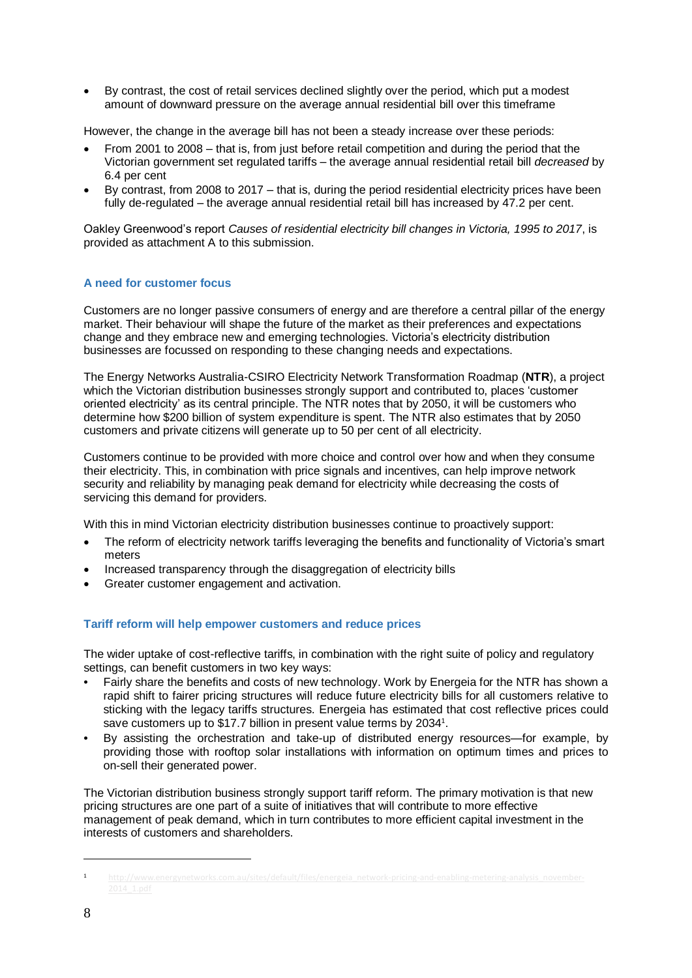By contrast, the cost of retail services declined slightly over the period, which put a modest amount of downward pressure on the average annual residential bill over this timeframe

However, the change in the average bill has not been a steady increase over these periods:

- From 2001 to 2008 that is, from just before retail competition and during the period that the Victorian government set regulated tariffs – the average annual residential retail bill *decreased* by 6.4 per cent
- By contrast, from 2008 to 2017 that is, during the period residential electricity prices have been fully de-regulated – the average annual residential retail bill has increased by 47.2 per cent.

Oakley Greenwood's report *Causes of residential electricity bill changes in Victoria, 1995 to 2017*, is provided as attachment A to this submission.

# <span id="page-7-0"></span>**A need for customer focus**

Customers are no longer passive consumers of energy and are therefore a central pillar of the energy market. Their behaviour will shape the future of the market as their preferences and expectations change and they embrace new and emerging technologies. Victoria's electricity distribution businesses are focussed on responding to these changing needs and expectations.

The Energy Networks Australia-CSIRO Electricity Network Transformation Roadmap (**NTR**), a project which the Victorian distribution businesses strongly support and contributed to, places 'customer oriented electricity' as its central principle. The NTR notes that by 2050, it will be customers who determine how \$200 billion of system expenditure is spent. The NTR also estimates that by 2050 customers and private citizens will generate up to 50 per cent of all electricity.

Customers continue to be provided with more choice and control over how and when they consume their electricity. This, in combination with price signals and incentives, can help improve network security and reliability by managing peak demand for electricity while decreasing the costs of servicing this demand for providers.

With this in mind Victorian electricity distribution businesses continue to proactively support:

- The reform of electricity network tariffs leveraging the benefits and functionality of Victoria's smart meters
- Increased transparency through the disaggregation of electricity bills
- Greater customer engagement and activation.

## <span id="page-7-1"></span>**Tariff reform will help empower customers and reduce prices**

The wider uptake of cost-reflective tariffs, in combination with the right suite of policy and regulatory settings, can benefit customers in two key ways:

- Fairly share the benefits and costs of new technology. Work by Energeia for the NTR has shown a rapid shift to fairer pricing structures will reduce future electricity bills for all customers relative to sticking with the legacy tariffs structures. Energeia has estimated that cost reflective prices could save customers up to \$17.7 billion in present value terms by 2034<sup>1</sup>.
- By assisting the orchestration and take-up of distributed energy resources—for example, by providing those with rooftop solar installations with information on optimum times and prices to on-sell their generated power.

The Victorian distribution business strongly support tariff reform. The primary motivation is that new pricing structures are one part of a suite of initiatives that will contribute to more effective management of peak demand, which in turn contributes to more efficient capital investment in the interests of customers and shareholders.

<u>.</u>

<sup>1</sup> http://www.energynetworks.com.au/sites/default/files/energeia\_network-pricing-and-enabling-metering-analysis\_november-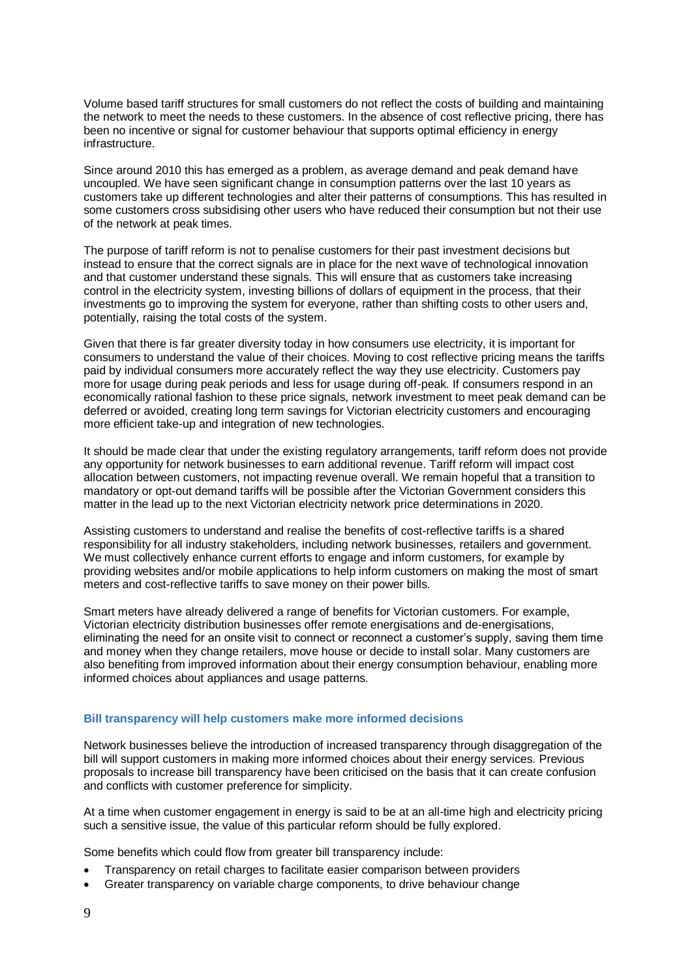Volume based tariff structures for small customers do not reflect the costs of building and maintaining the network to meet the needs to these customers. In the absence of cost reflective pricing, there has been no incentive or signal for customer behaviour that supports optimal efficiency in energy infrastructure.

Since around 2010 this has emerged as a problem, as average demand and peak demand have uncoupled. We have seen significant change in consumption patterns over the last 10 years as customers take up different technologies and alter their patterns of consumptions. This has resulted in some customers cross subsidising other users who have reduced their consumption but not their use of the network at peak times.

The purpose of tariff reform is not to penalise customers for their past investment decisions but instead to ensure that the correct signals are in place for the next wave of technological innovation and that customer understand these signals. This will ensure that as customers take increasing control in the electricity system, investing billions of dollars of equipment in the process, that their investments go to improving the system for everyone, rather than shifting costs to other users and, potentially, raising the total costs of the system.

Given that there is far greater diversity today in how consumers use electricity, it is important for consumers to understand the value of their choices. Moving to cost reflective pricing means the tariffs paid by individual consumers more accurately reflect the way they use electricity. Customers pay more for usage during peak periods and less for usage during off-peak. If consumers respond in an economically rational fashion to these price signals, network investment to meet peak demand can be deferred or avoided, creating long term savings for Victorian electricity customers and encouraging more efficient take-up and integration of new technologies.

It should be made clear that under the existing regulatory arrangements, tariff reform does not provide any opportunity for network businesses to earn additional revenue. Tariff reform will impact cost allocation between customers, not impacting revenue overall. We remain hopeful that a transition to mandatory or opt-out demand tariffs will be possible after the Victorian Government considers this matter in the lead up to the next Victorian electricity network price determinations in 2020.

Assisting customers to understand and realise the benefits of cost-reflective tariffs is a shared responsibility for all industry stakeholders, including network businesses, retailers and government. We must collectively enhance current efforts to engage and inform customers, for example by providing websites and/or mobile applications to help inform customers on making the most of smart meters and cost-reflective tariffs to save money on their power bills.

Smart meters have already delivered a range of benefits for Victorian customers. For example, Victorian electricity distribution businesses offer remote energisations and de-energisations, eliminating the need for an onsite visit to connect or reconnect a customer's supply, saving them time and money when they change retailers, move house or decide to install solar. Many customers are also benefiting from improved information about their energy consumption behaviour, enabling more informed choices about appliances and usage patterns.

#### <span id="page-8-0"></span>**Bill transparency will help customers make more informed decisions**

Network businesses believe the introduction of increased transparency through disaggregation of the bill will support customers in making more informed choices about their energy services. Previous proposals to increase bill transparency have been criticised on the basis that it can create confusion and conflicts with customer preference for simplicity.

At a time when customer engagement in energy is said to be at an all-time high and electricity pricing such a sensitive issue, the value of this particular reform should be fully explored.

Some benefits which could flow from greater bill transparency include:

- Transparency on retail charges to facilitate easier comparison between providers
- Greater transparency on variable charge components, to drive behaviour change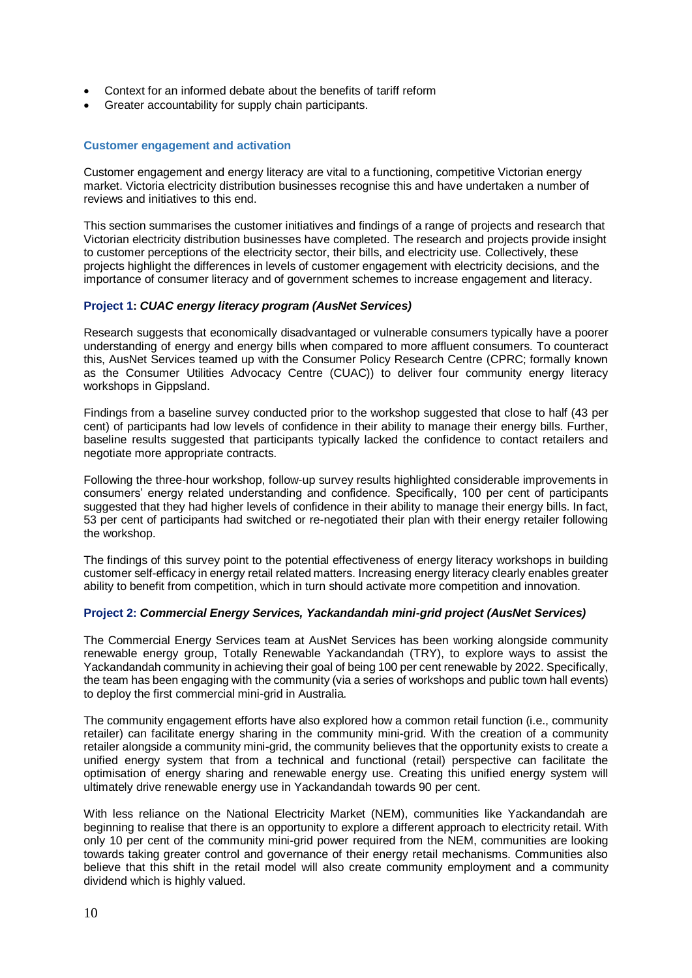- Context for an informed debate about the benefits of tariff reform
- Greater accountability for supply chain participants.

#### <span id="page-9-0"></span>**Customer engagement and activation**

Customer engagement and energy literacy are vital to a functioning, competitive Victorian energy market. Victoria electricity distribution businesses recognise this and have undertaken a number of reviews and initiatives to this end.

This section summarises the customer initiatives and findings of a range of projects and research that Victorian electricity distribution businesses have completed. The research and projects provide insight to customer perceptions of the electricity sector, their bills, and electricity use. Collectively, these projects highlight the differences in levels of customer engagement with electricity decisions, and the importance of consumer literacy and of government schemes to increase engagement and literacy.

#### **Project 1:** *CUAC energy literacy program (AusNet Services)*

Research suggests that economically disadvantaged or vulnerable consumers typically have a poorer understanding of energy and energy bills when compared to more affluent consumers. To counteract this, AusNet Services teamed up with the Consumer Policy Research Centre (CPRC; formally known as the Consumer Utilities Advocacy Centre (CUAC)) to deliver four community energy literacy workshops in Gippsland.

Findings from a baseline survey conducted prior to the workshop suggested that close to half (43 per cent) of participants had low levels of confidence in their ability to manage their energy bills. Further, baseline results suggested that participants typically lacked the confidence to contact retailers and negotiate more appropriate contracts.

Following the three-hour workshop, follow-up survey results highlighted considerable improvements in consumers' energy related understanding and confidence. Specifically, 100 per cent of participants suggested that they had higher levels of confidence in their ability to manage their energy bills. In fact, 53 per cent of participants had switched or re-negotiated their plan with their energy retailer following the workshop.

The findings of this survey point to the potential effectiveness of energy literacy workshops in building customer self-efficacy in energy retail related matters. Increasing energy literacy clearly enables greater ability to benefit from competition, which in turn should activate more competition and innovation.

#### **Project 2:** *Commercial Energy Services, Yackandandah mini-grid project (AusNet Services)*

The Commercial Energy Services team at AusNet Services has been working alongside community renewable energy group, Totally Renewable Yackandandah (TRY), to explore ways to assist the Yackandandah community in achieving their goal of being 100 per cent renewable by 2022. Specifically, the team has been engaging with the community (via a series of workshops and public town hall events) to deploy the first commercial mini-grid in Australia.

The community engagement efforts have also explored how a common retail function (i.e., community retailer) can facilitate energy sharing in the community mini-grid. With the creation of a community retailer alongside a community mini-grid, the community believes that the opportunity exists to create a unified energy system that from a technical and functional (retail) perspective can facilitate the optimisation of energy sharing and renewable energy use. Creating this unified energy system will ultimately drive renewable energy use in Yackandandah towards 90 per cent.

With less reliance on the National Electricity Market (NEM), communities like Yackandandah are beginning to realise that there is an opportunity to explore a different approach to electricity retail. With only 10 per cent of the community mini-grid power required from the NEM, communities are looking towards taking greater control and governance of their energy retail mechanisms. Communities also believe that this shift in the retail model will also create community employment and a community dividend which is highly valued.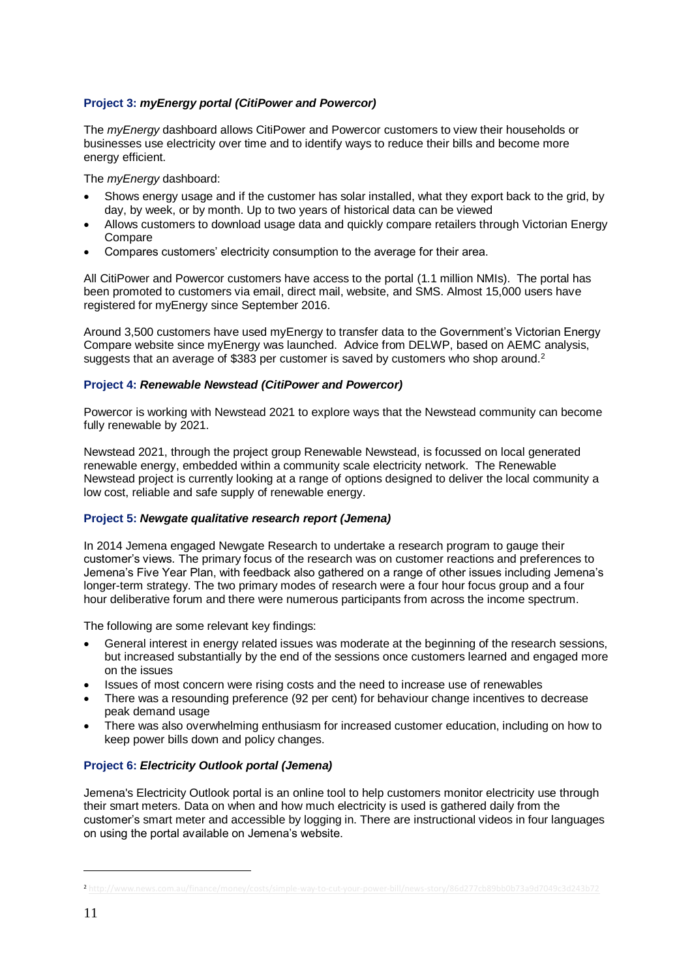# **Project 3:** *myEnergy portal (CitiPower and Powercor)*

The *myEnergy* dashboard allows CitiPower and Powercor customers to view their households or businesses use electricity over time and to identify ways to reduce their bills and become more energy efficient.

The *myEnergy* dashboard:

- Shows energy usage and if the customer has solar installed, what they export back to the grid, by day, by week, or by month. Up to two years of historical data can be viewed
- Allows customers to download usage data and quickly compare retailers through Victorian Energy Compare
- Compares customers' electricity consumption to the average for their area.

All CitiPower and Powercor customers have access to the portal (1.1 million NMIs). The portal has been promoted to customers via email, direct mail, website, and SMS. Almost 15,000 users have registered for myEnergy since September 2016.

Around 3,500 customers have used myEnergy to transfer data to the Government's Victorian Energy Compare website since myEnergy was launched. Advice from DELWP, based on AEMC analysis, suggests that an average of \$383 per customer is saved by customers who shop around.<sup>2</sup>

#### **Project 4:** *Renewable Newstead (CitiPower and Powercor)*

Powercor is working with Newstead 2021 to explore ways that the Newstead community can become fully renewable by 2021.

Newstead 2021, through the project group Renewable Newstead, is focussed on local generated renewable energy, embedded within a community scale electricity network. The Renewable Newstead project is currently looking at a range of options designed to deliver the local community a low cost, reliable and safe supply of renewable energy.

## **Project 5:** *Newgate qualitative research report (Jemena)*

In 2014 Jemena engaged Newgate Research to undertake a research program to gauge their customer's views. The primary focus of the research was on customer reactions and preferences to Jemena's Five Year Plan, with feedback also gathered on a range of other issues including Jemena's longer-term strategy. The two primary modes of research were a four hour focus group and a four hour deliberative forum and there were numerous participants from across the income spectrum.

The following are some relevant key findings:

- General interest in energy related issues was moderate at the beginning of the research sessions, but increased substantially by the end of the sessions once customers learned and engaged more on the issues
- Issues of most concern were rising costs and the need to increase use of renewables
- There was a resounding preference (92 per cent) for behaviour change incentives to decrease peak demand usage
- There was also overwhelming enthusiasm for increased customer education, including on how to keep power bills down and policy changes.

## **Project 6:** *Electricity Outlook portal (Jemena)*

Jemena's Electricity Outlook portal is an online tool to help customers monitor electricity use through their smart meters. Data on when and how much electricity is used is gathered daily from the customer's smart meter and accessible by logging in. There are instructional videos in four languages on using the portal available on Jemena's website.

<u>.</u>

<sup>2</sup> <http://www.news.com.au/finance/money/costs/simple-way-to-cut-your-power-bill/news-story/86d277cb89bb0b73a9d7049c3d243b72>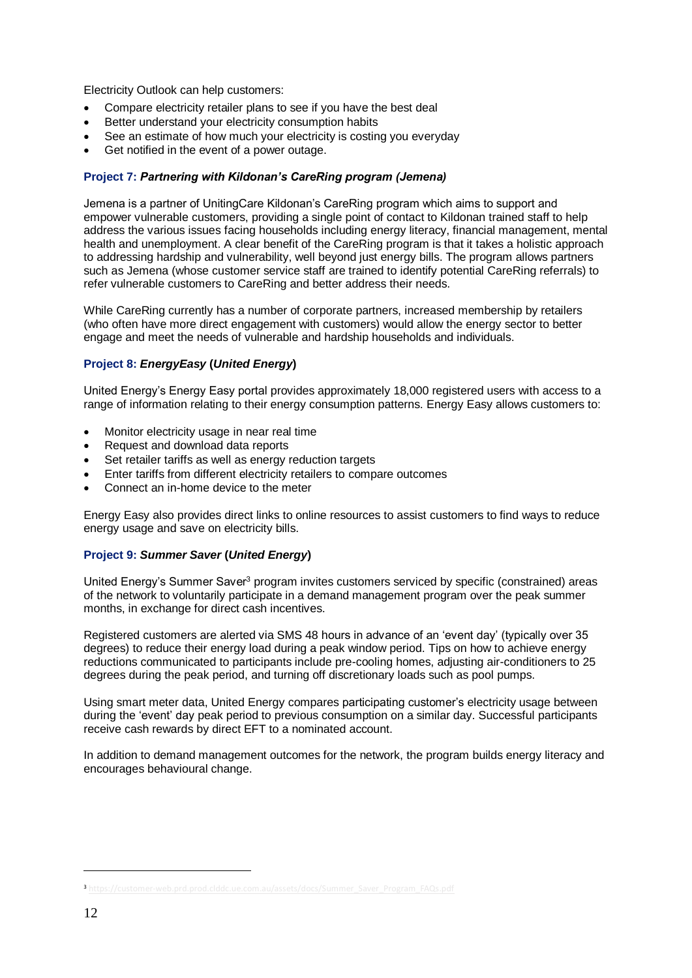Electricity Outlook can help customers:

- Compare electricity retailer plans to see if you have the best deal
- Better understand your electricity consumption habits
- See an estimate of how much your electricity is costing you everyday
- Get notified in the event of a power outage.

#### **Project 7:** *Partnering with Kildonan's CareRing program (Jemena)*

Jemena is a partner of UnitingCare Kildonan's CareRing program which aims to support and empower vulnerable customers, providing a single point of contact to Kildonan trained staff to help address the various issues facing households including energy literacy, financial management, mental health and unemployment. A clear benefit of the CareRing program is that it takes a holistic approach to addressing hardship and vulnerability, well beyond just energy bills. The program allows partners such as Jemena (whose customer service staff are trained to identify potential CareRing referrals) to refer vulnerable customers to CareRing and better address their needs.

While CareRing currently has a number of corporate partners, increased membership by retailers (who often have more direct engagement with customers) would allow the energy sector to better engage and meet the needs of vulnerable and hardship households and individuals.

## **Project 8:** *EnergyEasy* **(***United Energy***)**

United Energy's Energy Easy portal provides approximately 18,000 registered users with access to a range of information relating to their energy consumption patterns. Energy Easy allows customers to:

- Monitor electricity usage in near real time
- Request and download data reports
- Set retailer tariffs as well as energy reduction targets
- Enter tariffs from different electricity retailers to compare outcomes
- Connect an in-home device to the meter

Energy Easy also provides direct links to online resources to assist customers to find ways to reduce energy usage and save on electricity bills.

## **Project 9:** *Summer Saver* **(***United Energy***)**

United Energy's Summer Saver<sup>3</sup> program invites customers serviced by specific (constrained) areas of the network to voluntarily participate in a demand management program over the peak summer months, in exchange for direct cash incentives.

Registered customers are alerted via SMS 48 hours in advance of an 'event day' (typically over 35 degrees) to reduce their energy load during a peak window period. Tips on how to achieve energy reductions communicated to participants include pre-cooling homes, adjusting air-conditioners to 25 degrees during the peak period, and turning off discretionary loads such as pool pumps.

Using smart meter data, United Energy compares participating customer's electricity usage between during the 'event' day peak period to previous consumption on a similar day. Successful participants receive cash rewards by direct EFT to a nominated account.

In addition to demand management outcomes for the network, the program builds energy literacy and encourages behavioural change.

<u>.</u>

<sup>3</sup> [https://customer-web.prd.prod.clddc.ue.com.au/assets/docs/Summer\\_Saver\\_Program\\_FAQs.pdf](https://customer-web.prd.prod.clddc.ue.com.au/assets/docs/Summer_Saver_Program_FAQs.pdf)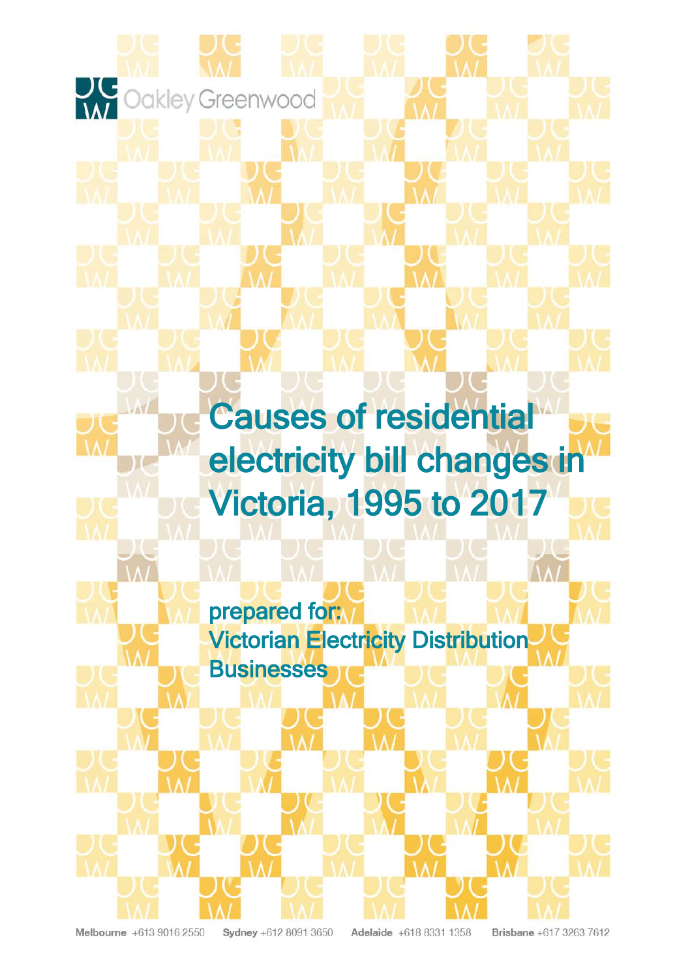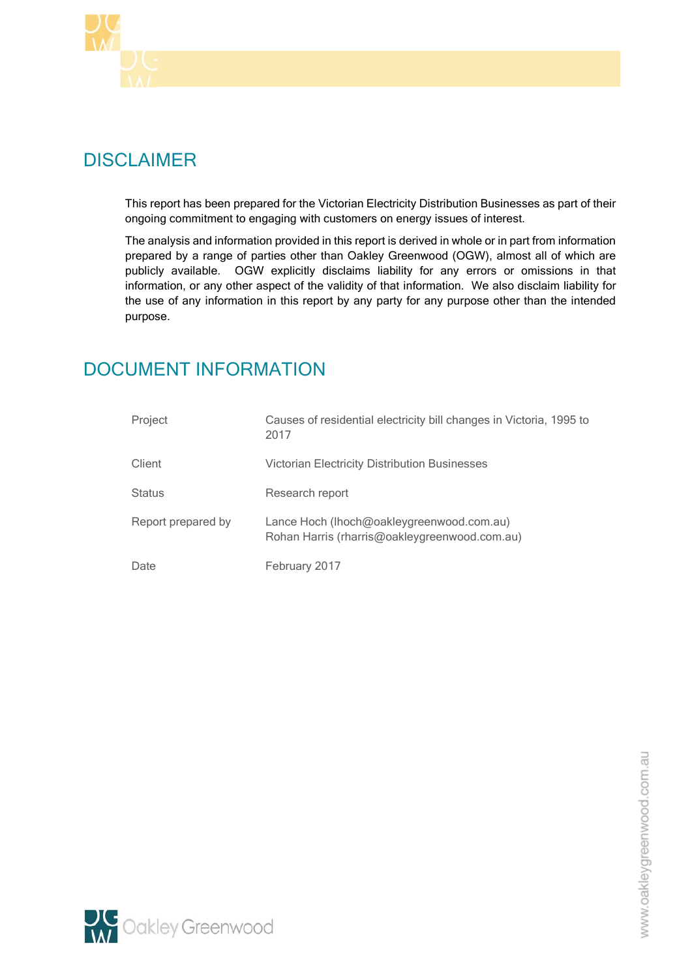

# DISCLAIMER

This report has been prepared for the Victorian Electricity Distribution Businesses as part of their ongoing commitment to engaging with customers on energy issues of interest.

The analysis and information provided in this report is derived in whole or in part from information prepared by a range of parties other than Oakley Greenwood (OGW), almost all of which are publicly available. OGW explicitly disclaims liability for any errors or omissions in that information, or any other aspect of the validity of that information. We also disclaim liability for the use of any information in this report by any party for any purpose other than the intended purpose.

# DOCUMENT INFORMATION

| Project            | Causes of residential electricity bill changes in Victoria, 1995 to<br>2017                |
|--------------------|--------------------------------------------------------------------------------------------|
| Client             | <b>Victorian Electricity Distribution Businesses</b>                                       |
| <b>Status</b>      | Research report                                                                            |
| Report prepared by | Lance Hoch (lhoch@oakleygreenwood.com.au)<br>Rohan Harris (rharris@oakleygreenwood.com.au) |
| Date               | February 2017                                                                              |

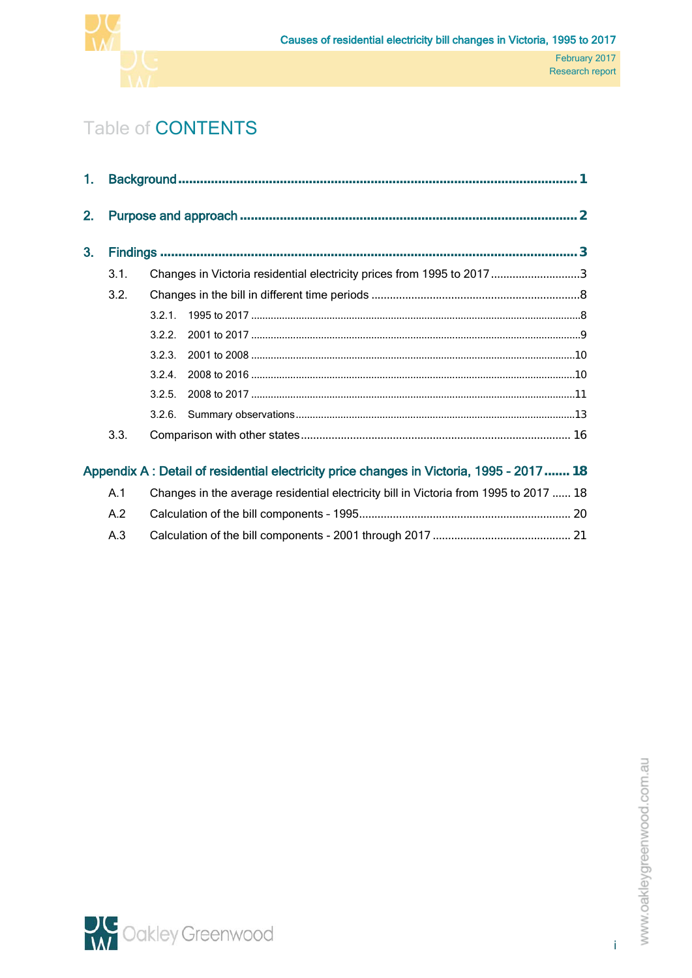

# Table of CONTENTS

| 1.             |      |       |                                                                                          |  |
|----------------|------|-------|------------------------------------------------------------------------------------------|--|
| 2.             |      |       |                                                                                          |  |
| 3 <sub>1</sub> |      |       |                                                                                          |  |
|                | 3.1. |       | Changes in Victoria residential electricity prices from 1995 to 2017 3                   |  |
|                | 3.2. |       |                                                                                          |  |
|                |      |       |                                                                                          |  |
|                |      | 3.2.2 |                                                                                          |  |
|                |      |       |                                                                                          |  |
|                |      | 3.2.4 |                                                                                          |  |
|                |      | 3.2.5 |                                                                                          |  |
|                |      |       |                                                                                          |  |
|                | 3.3. |       |                                                                                          |  |
|                |      |       | Appendix A : Detail of residential electricity price changes in Victoria, 1995 - 2017 18 |  |
|                | A.1  |       | Changes in the average residential electricity bill in Victoria from 1995 to 2017  18    |  |
|                | A.2  |       |                                                                                          |  |

A.3 [Calculation of the bill components -](#page-36-0) 2001 through 2017 ............................................. 21

i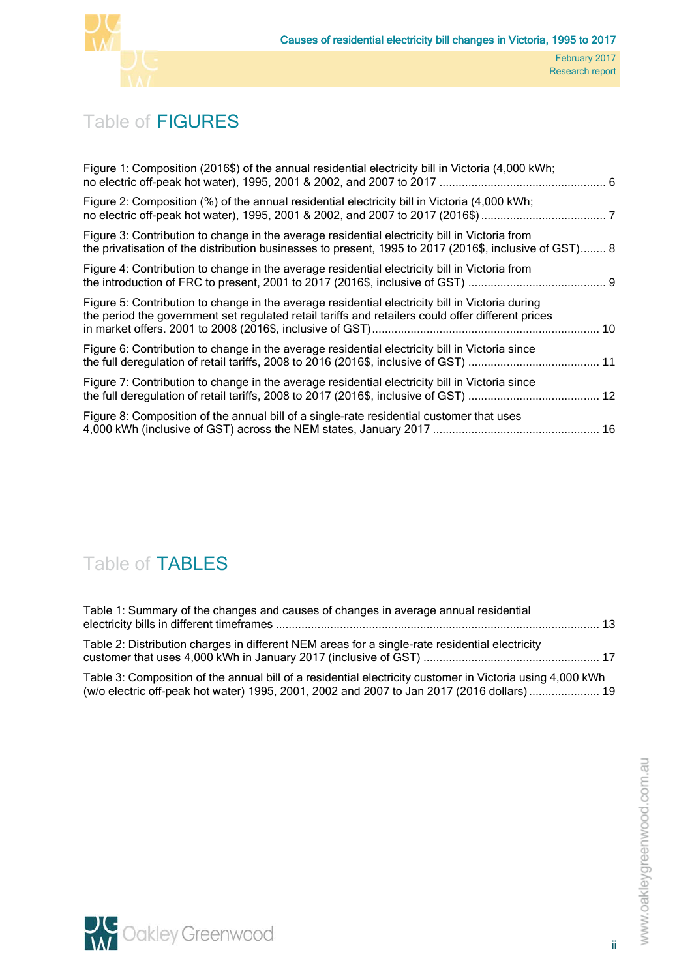

# Table of FIGURES

| Figure 1: Composition (2016\$) of the annual residential electricity bill in Victoria (4,000 kWh;                                                                                                       |  |
|---------------------------------------------------------------------------------------------------------------------------------------------------------------------------------------------------------|--|
| Figure 2: Composition (%) of the annual residential electricity bill in Victoria (4,000 kWh;                                                                                                            |  |
| Figure 3: Contribution to change in the average residential electricity bill in Victoria from<br>the privatisation of the distribution businesses to present, 1995 to 2017 (2016\$, inclusive of GST) 8 |  |
| Figure 4: Contribution to change in the average residential electricity bill in Victoria from                                                                                                           |  |
| Figure 5: Contribution to change in the average residential electricity bill in Victoria during<br>the period the government set regulated retail tariffs and retailers could offer different prices    |  |
| Figure 6: Contribution to change in the average residential electricity bill in Victoria since                                                                                                          |  |
| Figure 7: Contribution to change in the average residential electricity bill in Victoria since                                                                                                          |  |
| Figure 8: Composition of the annual bill of a single-rate residential customer that uses                                                                                                                |  |

# Table of TABLES

| Table 1: Summary of the changes and causes of changes in average annual residential                       |  |
|-----------------------------------------------------------------------------------------------------------|--|
| Table 2: Distribution charges in different NEM areas for a single-rate residential electricity            |  |
| Table 3: Composition of the annual bill of a residential electricity customer in Victoria using 4,000 kWh |  |

 $\rm{a}$ oosition of the annual bill of a residential electricity customer in Victoria using 4,000 kWh [\(w/o electric off-peak hot water\) 1995, 2001, 2002 and 2007 to Jan 2017 \(2016 dollars\)](#page-34-0)...................... 19

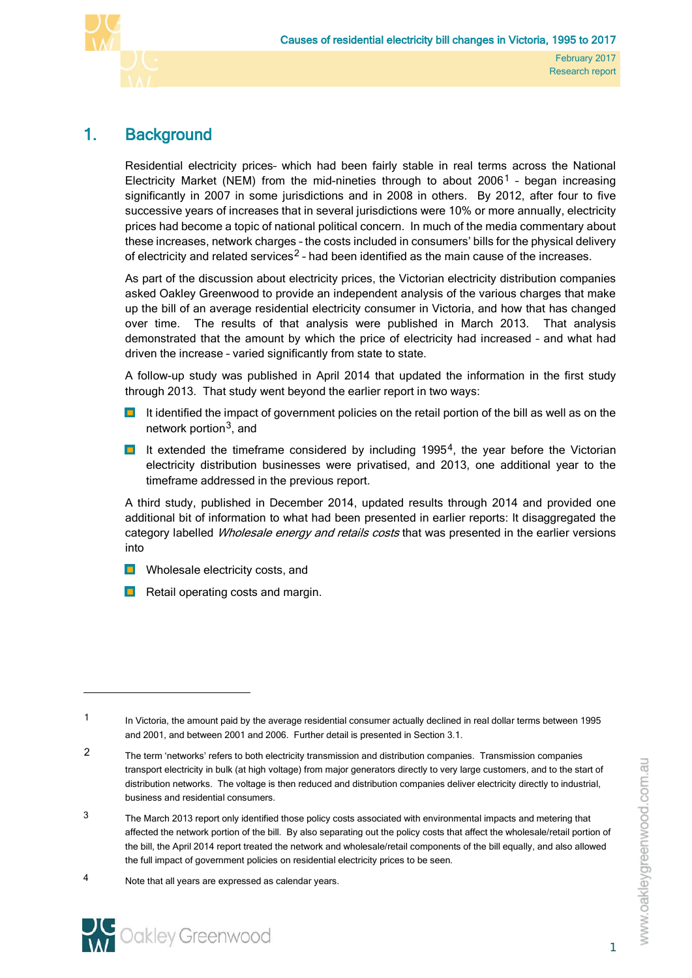

# <span id="page-16-0"></span>1. Background

Residential electricity prices– which had been fairly stable in real terms across the National Electricity Market (NEM) from the mid-nineties through to about  $2006<sup>1</sup>$  $2006<sup>1</sup>$  $2006<sup>1</sup>$  - began increasing significantly in 2007 in some jurisdictions and in 2008 in others. By 2012, after four to five successive years of increases that in several jurisdictions were 10% or more annually, electricity prices had become a topic of national political concern. In much of the media commentary about these increases, network charges – the costs included in consumers' bills for the physical delivery of electricity and related services<sup>[2](#page-16-2)</sup> - had been identified as the main cause of the increases.

As part of the discussion about electricity prices, the Victorian electricity distribution companies asked Oakley Greenwood to provide an independent analysis of the various charges that make up the bill of an average residential electricity consumer in Victoria, and how that has changed over time. The results of that analysis were published in March 2013. That analysis demonstrated that the amount by which the price of electricity had increased – and what had driven the increase – varied significantly from state to state.

A follow-up study was published in April 2014 that updated the information in the first study through 2013. That study went beyond the earlier report in two ways:

- **If** It identified the impact of government policies on the retail portion of the bill as well as on the network portion<sup>[3](#page-16-3)</sup>, and
- $\blacksquare$  It extended the timeframe considered by including 1995<sup>4</sup>, the year before the Victorian electricity distribution businesses were privatised, and 2013, one additional year to the timeframe addressed in the previous report.

A third study, published in December 2014, updated results through 2014 and provided one additional bit of information to what had been presented in earlier reports: It disaggregated the category labelled Wholesale energy and retails costs that was presented in the earlier versions into

- **Notify** Wholesale electricity costs, and
- $\blacksquare$  Retail operating costs and margin.

<span id="page-16-1"></span><sup>1</sup> In Victoria, the amount paid by the average residential consumer actually declined in real dollar terms between 1995 and 2001, and between 2001 and 2006. Further detail is presented in Section 3.1.

<span id="page-16-2"></span><sup>2</sup> The term 'networks' refers to both electricity transmission and distribution companies. Transmission companies transport electricity in bulk (at high voltage) from major generators directly to very large customers, and to the start of distribution networks. The voltage is then reduced and distribution companies deliver electricity directly to industrial, business and residential consumers.

<span id="page-16-3"></span><sup>&</sup>lt;sup>3</sup> The March 2013 report only identified those policy costs associated with environmental impacts and metering that affected the network portion of the bill. By also separating out the policy costs that affect the wholesale/retail portion of the bill, the April 2014 report treated the network and wholesale/retail components of the bill equally, and also allowed the full impact of government policies on residential electricity prices to be seen.

<span id="page-16-4"></span><sup>4</sup> Note that all years are expressed as calendar years.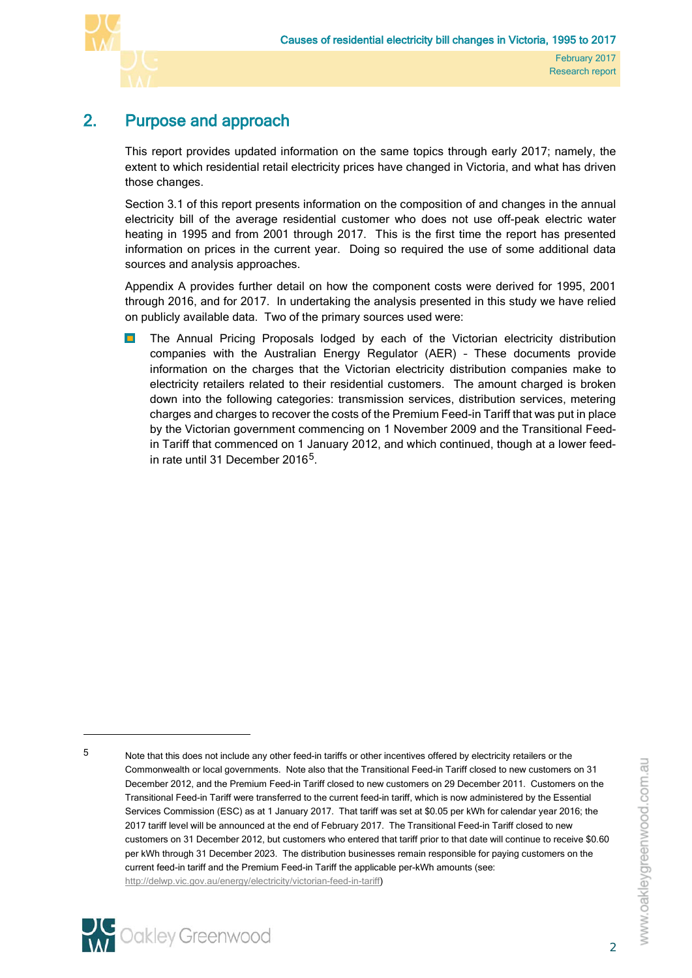

# 2. Purpose and approach

<span id="page-17-0"></span>This report provides updated information on the same topics through early 2017; namely, the extent to which residential retail electricity prices have changed in Victoria, and what has driven those changes.

Section [3.1](#page-18-1) of this report presents information on the composition of and changes in the annual electricity bill of the average residential customer who does not use off-peak electric water heating in 1995 and from 2001 through 2017. This is the first time the report has presented information on prices in the current year. Doing so required the use of some additional data sources and analysis approaches.

Appendix A provides further detail on how the component costs were derived for 1995, 2001 through 2016, and for 2017. In undertaking the analysis presented in this study we have relied on publicly available data. Two of the primary sources used were:

 $\blacksquare$ The Annual Pricing Proposals lodged by each of the Victorian electricity distribution companies with the Australian Energy Regulator (AER) – These documents provide information on the charges that the Victorian electricity distribution companies make to electricity retailers related to their residential customers. The amount charged is broken down into the following categories: transmission services, distribution services, metering charges and charges to recover the costs of the Premium Feed-in Tariff that was put in place by the Victorian government commencing on 1 November 2009 and the Transitional Feedin Tariff that commenced on 1 January 2012, and which continued, though at a lower feed-in rate until 31 December 2016<sup>[5](#page-17-1)</sup>.

[http://delwp.vic.gov.au/energy/electricity/victorian-feed-in-tariff\)](http://delwp.vic.gov.au/energy/electricity/victorian-feed-in-tariff)



 $\overline{a}$ 

<span id="page-17-1"></span><sup>5</sup> Note that this does not include any other feed-in tariffs or other incentives offered by electricity retailers or the Commonwealth or local governments. Note also that the Transitional Feed-in Tariff closed to new customers on 31 December 2012, and the Premium Feed-in Tariff closed to new customers on 29 December 2011. Customers on the Transitional Feed-in Tariff were transferred to the current feed-in tariff, which is now administered by the Essential Services Commission (ESC) as at 1 January 2017. That tariff was set at \$0.05 per kWh for calendar year 2016; the 2017 tariff level will be announced at the end of February 2017. The Transitional Feed-in Tariff closed to new customers on 31 December 2012, but customers who entered that tariff prior to that date will continue to receive \$0.60 per kWh through 31 December 2023. The distribution businesses remain responsible for paying customers on the current feed-in tariff and the Premium Feed-in Tariff the applicable per-kWh amounts (see: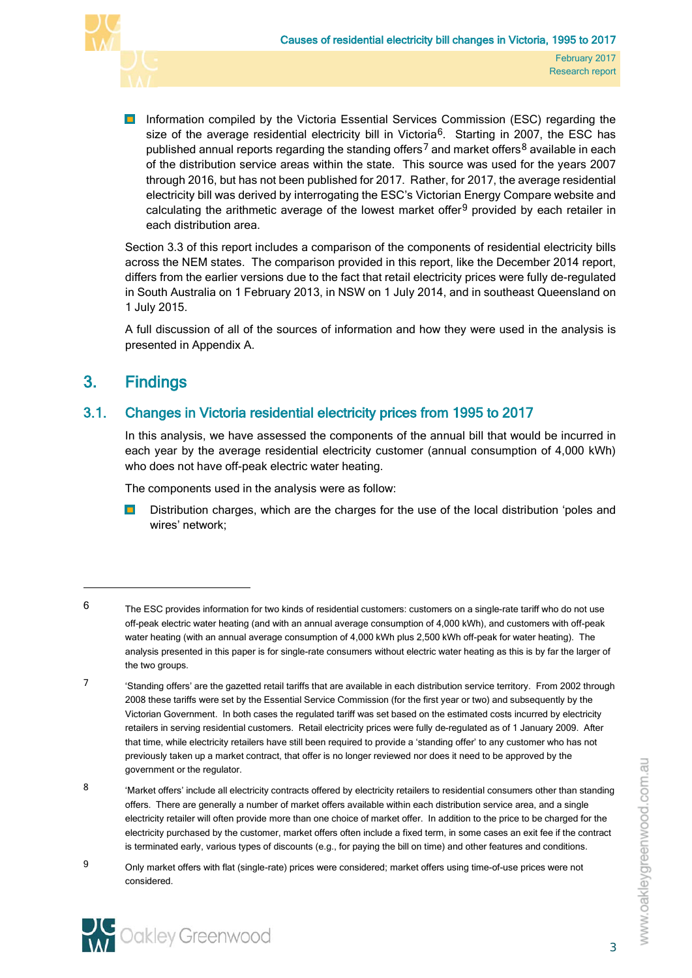

**Information compiled by the Victoria Essential Services Commission (ESC) regarding the** size of the average residential electricity bill in Victoria<sup>[6](#page-18-2)</sup>. Starting in 2007, the ESC has published annual reports regarding the standing offers<sup>[7](#page-18-3)</sup> and market offers<sup>[8](#page-18-4)</sup> available in each of the distribution service areas within the state. This source was used for the years 2007 through 2016, but has not been published for 2017. Rather, for 2017, the average residential electricity bill was derived by interrogating the ESC's Victorian Energy Compare website and calculating the arithmetic average of the lowest market offer<sup>[9](#page-18-5)</sup> provided by each retailer in each distribution area.

Section [3.3](#page-31-0) of this report includes a comparison of the components of residential electricity bills across the NEM states. The comparison provided in this report, like the December 2014 report, differs from the earlier versions due to the fact that retail electricity prices were fully de-regulated in South Australia on 1 February 2013, in NSW on 1 July 2014, and in southeast Queensland on 1 July 2015.

<span id="page-18-0"></span>A full discussion of all of the sources of information and how they were used in the analysis is presented in Appendix A.

# 3. Findings

# 3.1. Changes in Victoria residential electricity prices from 1995 to 2017

<span id="page-18-1"></span>In this analysis, we have assessed the components of the annual bill that would be incurred in each year by the average residential electricity customer (annual consumption of 4,000 kWh) who does not have off-peak electric water heating.

The components used in the analysis were as follow:

 $\blacksquare$ Distribution charges, which are the charges for the use of the local distribution 'poles and wires' network;

- <span id="page-18-3"></span>7 'Standing offers' are the gazetted retail tariffs that are available in each distribution service territory. From 2002 through 2008 these tariffs were set by the Essential Service Commission (for the first year or two) and subsequently by the Victorian Government. In both cases the regulated tariff was set based on the estimated costs incurred by electricity retailers in serving residential customers. Retail electricity prices were fully de-regulated as of 1 January 2009. After that time, while electricity retailers have still been required to provide a 'standing offer' to any customer who has not previously taken up a market contract, that offer is no longer reviewed nor does it need to be approved by the government or the regulator.
- <span id="page-18-4"></span>8 'Market offers' include all electricity contracts offered by electricity retailers to residential consumers other than standing offers. There are generally a number of market offers available within each distribution service area, and a single electricity retailer will often provide more than one choice of market offer. In addition to the price to be charged for the electricity purchased by the customer, market offers often include a fixed term, in some cases an exit fee if the contract is terminated early, various types of discounts (e.g., for paying the bill on time) and other features and conditions.
- <span id="page-18-5"></span>9 Only market offers with flat (single-rate) prices were considered; market offers using time-of-use prices were not considered.



l

<span id="page-18-2"></span> $6$  The ESC provides information for two kinds of residential customers: customers on a single-rate tariff who do not use off-peak electric water heating (and with an annual average consumption of 4,000 kWh), and customers with off-peak water heating (with an annual average consumption of 4,000 kWh plus 2,500 kWh off-peak for water heating). The analysis presented in this paper is for single-rate consumers without electric water heating as this is by far the larger of the two groups.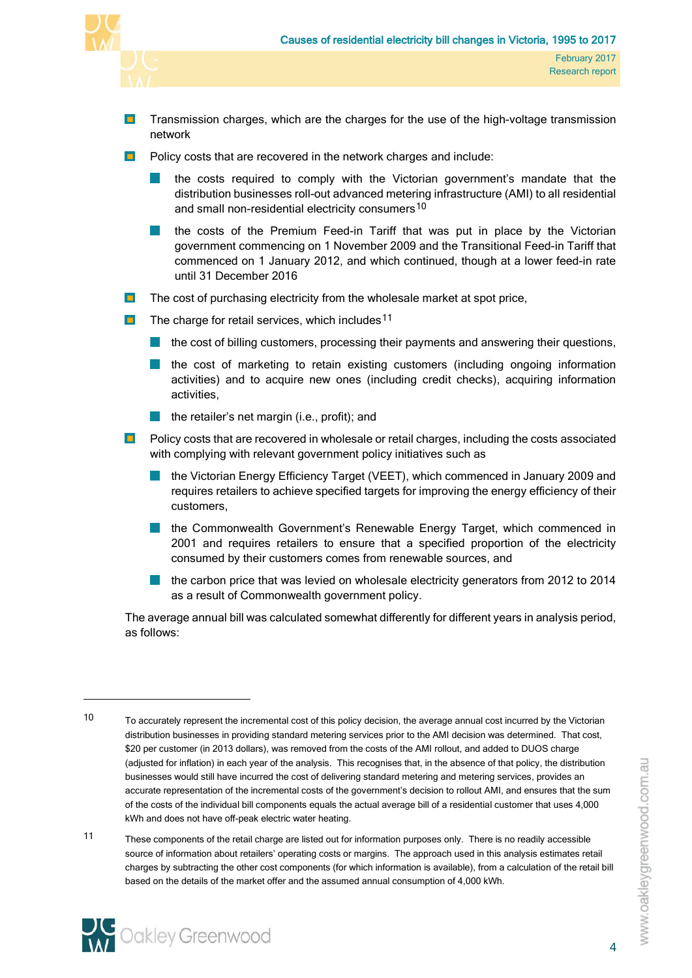

- $\blacksquare$ Transmission charges, which are the charges for the use of the high-voltage transmission network
- **Policy costs that are recovered in the network charges and include:** 
	- the costs required to comply with the Victorian government's mandate that the distribution businesses roll-out advanced metering infrastructure (AMI) to all residential and small non-residential electricity consumers<sup>[10](#page-19-0)</sup>
	- the costs of the Premium Feed-in Tariff that was put in place by the Victorian government commencing on 1 November 2009 and the Transitional Feed-in Tariff that commenced on 1 January 2012, and which continued, though at a lower feed-in rate until 31 December 2016
- $\blacksquare$ The cost of purchasing electricity from the wholesale market at spot price,
- $\blacksquare$ The charge for retail services, which includes<sup>[11](#page-19-1)</sup>
	- $\blacksquare$  the cost of billing customers, processing their payments and answering their questions,
	- **T** the cost of marketing to retain existing customers (including ongoing information activities) and to acquire new ones (including credit checks), acquiring information activities,
	- the retailer's net margin (i.e., profit); and
- **Policy costs that are recovered in wholesale or retail charges, including the costs associated** with complying with relevant government policy initiatives such as
	- **In the Victorian Energy Efficiency Target (VEET), which commenced in January 2009 and** requires retailers to achieve specified targets for improving the energy efficiency of their customers,
	- **In** the Commonwealth Government's Renewable Energy Target, which commenced in 2001 and requires retailers to ensure that a specified proportion of the electricity consumed by their customers comes from renewable sources, and
	- **the carbon price that was levied on wholesale electricity generators from 2012 to 2014** as a result of Commonwealth government policy.

The average annual bill was calculated somewhat differently for different years in analysis period, as follows:

<span id="page-19-1"></span><sup>11</sup> These components of the retail charge are listed out for information purposes only. There is no readily accessible source of information about retailers' operating costs or margins. The approach used in this analysis estimates retail charges by subtracting the other cost components (for which information is available), from a calculation of the retail bill based on the details of the market offer and the assumed annual consumption of 4,000 kWh.



<span id="page-19-0"></span><sup>10</sup> To accurately represent the incremental cost of this policy decision, the average annual cost incurred by the Victorian distribution businesses in providing standard metering services prior to the AMI decision was determined. That cost, \$20 per customer (in 2013 dollars), was removed from the costs of the AMI rollout, and added to DUOS charge (adjusted for inflation) in each year of the analysis. This recognises that, in the absence of that policy, the distribution businesses would still have incurred the cost of delivering standard metering and metering services, provides an accurate representation of the incremental costs of the government's decision to rollout AMI, and ensures that the sum of the costs of the individual bill components equals the actual average bill of a residential customer that uses 4,000 kWh and does not have off-peak electric water heating.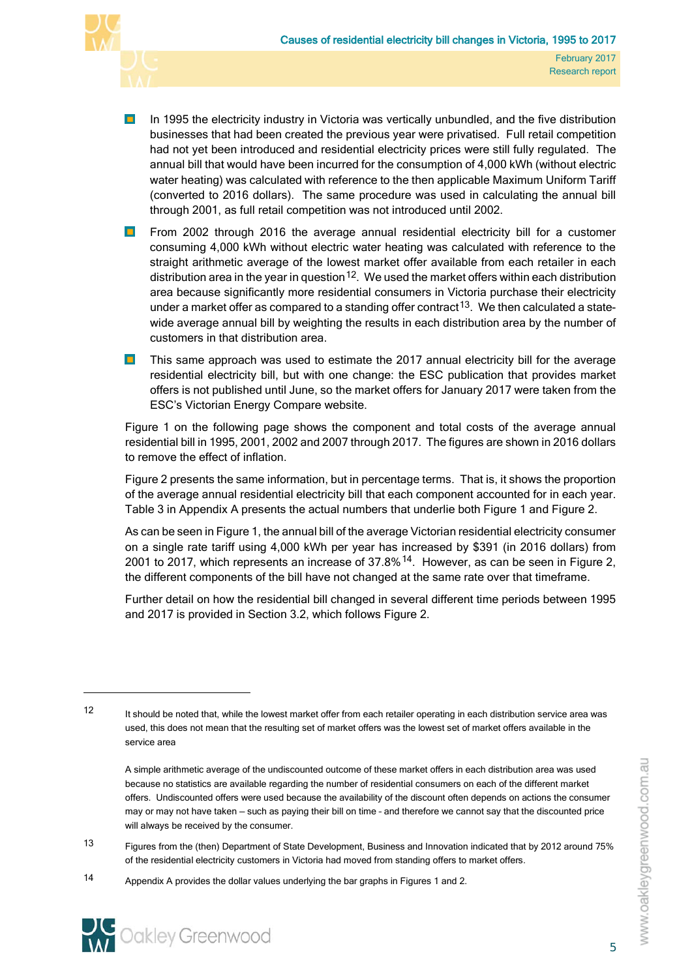

- $\blacksquare$ In 1995 the electricity industry in Victoria was vertically unbundled, and the five distribution businesses that had been created the previous year were privatised. Full retail competition had not yet been introduced and residential electricity prices were still fully regulated. The annual bill that would have been incurred for the consumption of 4,000 kWh (without electric water heating) was calculated with reference to the then applicable Maximum Uniform Tariff (converted to 2016 dollars). The same procedure was used in calculating the annual bill through 2001, as full retail competition was not introduced until 2002.
- From 2002 through 2016 the average annual residential electricity bill for a customer  $\blacksquare$ consuming 4,000 kWh without electric water heating was calculated with reference to the straight arithmetic average of the lowest market offer available from each retailer in each distribution area in the year in question  $12$ . We used the market offers within each distribution area because significantly more residential consumers in Victoria purchase their electricity under a market offer as compared to a standing offer contract<sup>[13](#page-20-1)</sup>. We then calculated a statewide average annual bill by weighting the results in each distribution area by the number of customers in that distribution area.
- $\blacksquare$ This same approach was used to estimate the 2017 annual electricity bill for the average residential electricity bill, but with one change: the ESC publication that provides market offers is not published until June, so the market offers for January 2017 were taken from the ESC's Victorian Energy Compare website.

[Figure 1](#page-21-0) on the following page shows the component and total costs of the average annual residential bill in 1995, 2001, 2002 and 2007 through 2017. The figures are shown in 2016 dollars to remove the effect of inflation.

[Figure 2](#page-22-0) presents the same information, but in percentage terms. That is, it shows the proportion of the average annual residential electricity bill that each component accounted for in each year. [Table 3](#page-34-0) in [Appendix A](#page-33-0) presents the actual numbers that underlie both [Figure 1](#page-21-0) and [Figure 2.](#page-22-0)

As can be seen i[n Figure 1,](#page-21-0) the annual bill of the average Victorian residential electricity consumer on a single rate tariff using 4,000 kWh per year has increased by \$391 (in 2016 dollars) from 2001 to 2017, which represents an increase of 37.8%[14.](#page-20-2) However, as can be seen in [Figure 2,](#page-22-0) the different components of the bill have not changed at the same rate over that timeframe.

Further detail on how the residential bill changed in several different time periods between 1995 and 2017 is provided in Section [3.2,](#page-23-0) which follows [Figure 2.](#page-22-0)

<span id="page-20-1"></span>13 Figures from the (then) Department of State Development, Business and Innovation indicated that by 2012 around 75% of the residential electricity customers in Victoria had moved from standing offers to market offers.

<span id="page-20-2"></span><sup>14</sup> Appendix A provides the dollar values underlying the bar graphs in Figures 1 and 2.



 $\overline{a}$ 

<span id="page-20-0"></span><sup>12</sup> It should be noted that, while the lowest market offer from each retailer operating in each distribution service area was used, this does not mean that the resulting set of market offers was the lowest set of market offers available in the service area

A simple arithmetic average of the undiscounted outcome of these market offers in each distribution area was used because no statistics are available regarding the number of residential consumers on each of the different market offers. Undiscounted offers were used because the availability of the discount often depends on actions the consumer may or may not have taken — such as paying their bill on time – and therefore we cannot say that the discounted price will always be received by the consumer.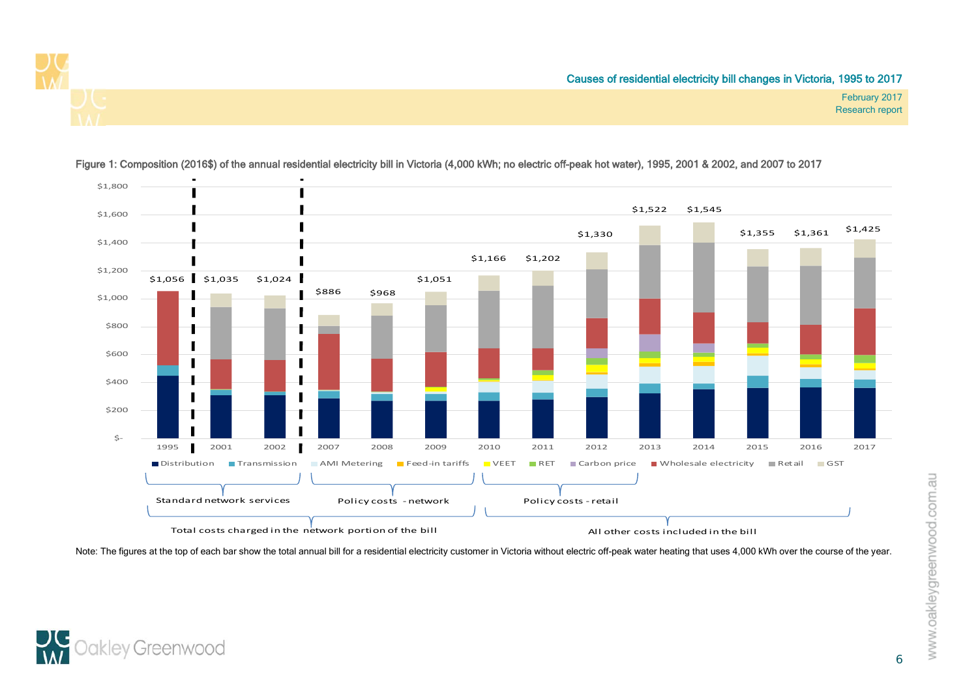



Figure 1: Composition (2016\$) of the annual residential electricity bill in Victoria (4,000 kWh; no electric off-peak hot water), 1995, 2001 & 2002, and 2007 to 2017

<span id="page-21-0"></span>Note: The figures at the top of each bar show the total annual bill for a residential electricity customer in Victoria without electric off-peak water heating that uses 4,000 kWh over the course of the year.

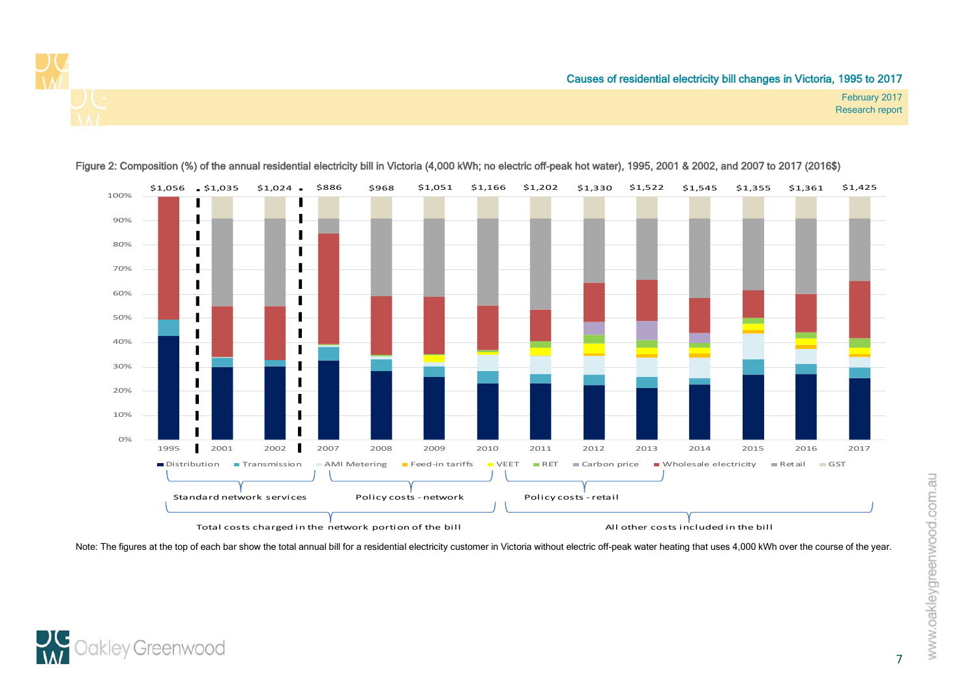



#### Figure 2: Composition (%) of the annual residential electricity bill in Victoria (4,000 kWh; no electric off-peak hot water), 1995, 2001 & 2002, and 2007 to 2017 (2016\$)

<span id="page-22-0"></span>Note: The figures at the top of each bar show the total annual bill for a residential electricity customer in Victoria without electric off-peak water heating that uses 4,000 kWh over the course of the year.



February 2017 Research report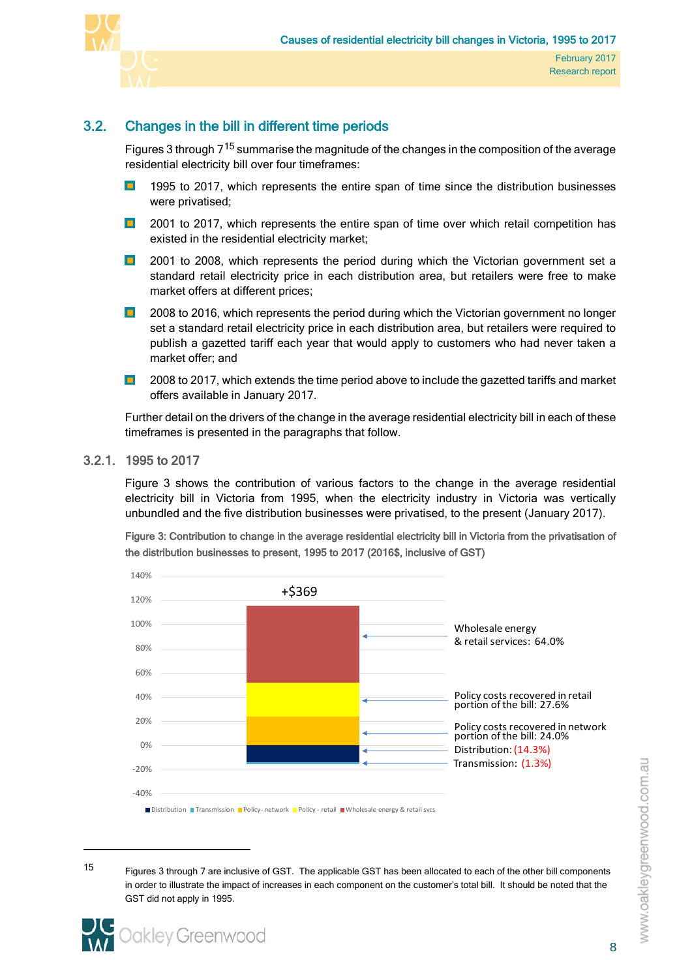

# 3.2. Changes in the bill in different time periods

<span id="page-23-0"></span>Figures 3 through  $7^{15}$  $7^{15}$  $7^{15}$  summarise the magnitude of the changes in the composition of the average residential electricity bill over four timeframes:

- $\blacksquare$ 1995 to 2017, which represents the entire span of time since the distribution businesses were privatised;
- $\blacksquare$ 2001 to 2017, which represents the entire span of time over which retail competition has existed in the residential electricity market;
- 2001 to 2008, which represents the period during which the Victorian government set a  $\blacksquare$ standard retail electricity price in each distribution area, but retailers were free to make market offers at different prices;
- $\blacksquare$ 2008 to 2016, which represents the period during which the Victorian government no longer set a standard retail electricity price in each distribution area, but retailers were required to publish a gazetted tariff each year that would apply to customers who had never taken a market offer; and
- $\blacksquare$ 2008 to 2017, which extends the time period above to include the gazetted tariffs and market offers available in January 2017.

Further detail on the drivers of the change in the average residential electricity bill in each of these timeframes is presented in the paragraphs that follow.

# 3.2.1. 1995 to 2017

<span id="page-23-1"></span>[Figure 3](#page-23-2) shows the contribution of various factors to the change in the average residential electricity bill in Victoria from 1995, when the electricity industry in Victoria was vertically unbundled and the five distribution businesses were privatised, to the present (January 2017).

<span id="page-23-2"></span>Figure 3: Contribution to change in the average residential electricity bill in Victoria from the privatisation of the distribution businesses to present, 1995 to 2017 (2016\$, inclusive of GST)



<span id="page-23-3"></span><sup>15</sup> Figures 3 through 7 are inclusive of GST. The applicable GST has been allocated to each of the other bill components in order to illustrate the impact of increases in each component on the customer's total bill. It should be noted that the GST did not apply in 1995.

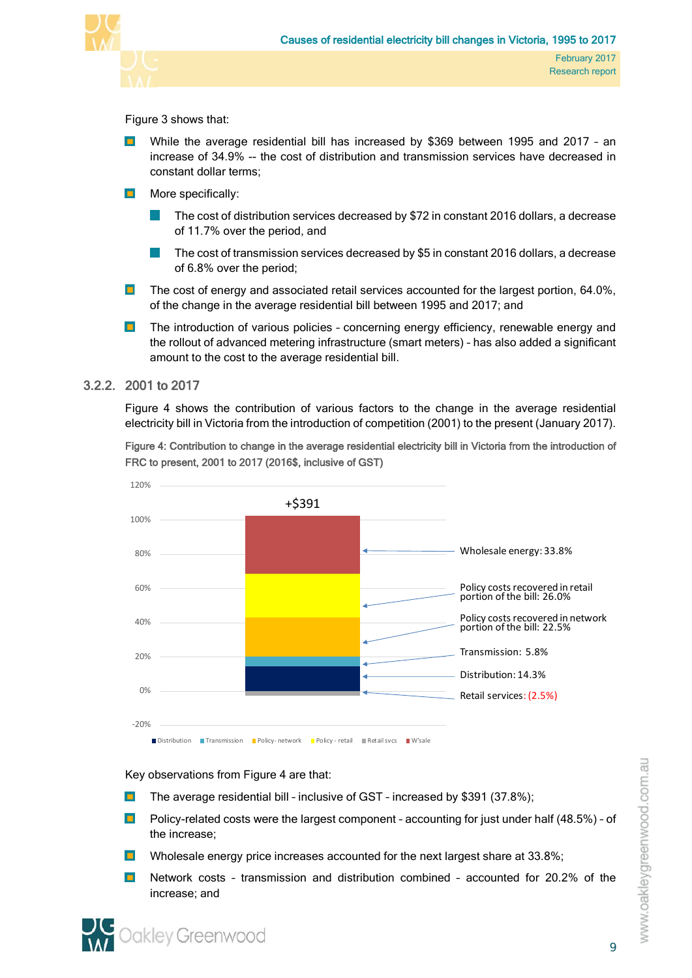

## [Figure 3](#page-23-2) shows that:

- While the average residential bill has increased by \$369 between 1995 and 2017 an increase of 34.9% -- the cost of distribution and transmission services have decreased in constant dollar terms;
- $\blacksquare$ More specifically:
	- The cost of distribution services decreased by \$72 in constant 2016 dollars, a decrease of 11.7% over the period, and
	- The cost of transmission services decreased by \$5 in constant 2016 dollars, a decrease of 6.8% over the period;
- The cost of energy and associated retail services accounted for the largest portion, 64.0%,  $\blacksquare$ of the change in the average residential bill between 1995 and 2017; and
- $\blacksquare$ The introduction of various policies – concerning energy efficiency, renewable energy and the rollout of advanced metering infrastructure (smart meters) – has also added a significant amount to the cost to the average residential bill.

## 3.2.2. 2001 to 2017

<span id="page-24-0"></span>[Figure 4](#page-24-1) shows the contribution of various factors to the change in the average residential electricity bill in Victoria from the introduction of competition (2001) to the present (January 2017).

<span id="page-24-1"></span>Figure 4: Contribution to change in the average residential electricity bill in Victoria from the introduction of FRC to present, 2001 to 2017 (2016\$, inclusive of GST)



Key observations from [Figure 4](#page-24-1) are that:

- $\blacksquare$ The average residential bill – inclusive of GST – increased by \$391 (37.8%);
- Policy-related costs were the largest component accounting for just under half (48.5%) of the increase;
- $\blacksquare$ Wholesale energy price increases accounted for the next largest share at 33.8%;
- $\blacksquare$ Network costs – transmission and distribution combined – accounted for 20.2% of the increase; and

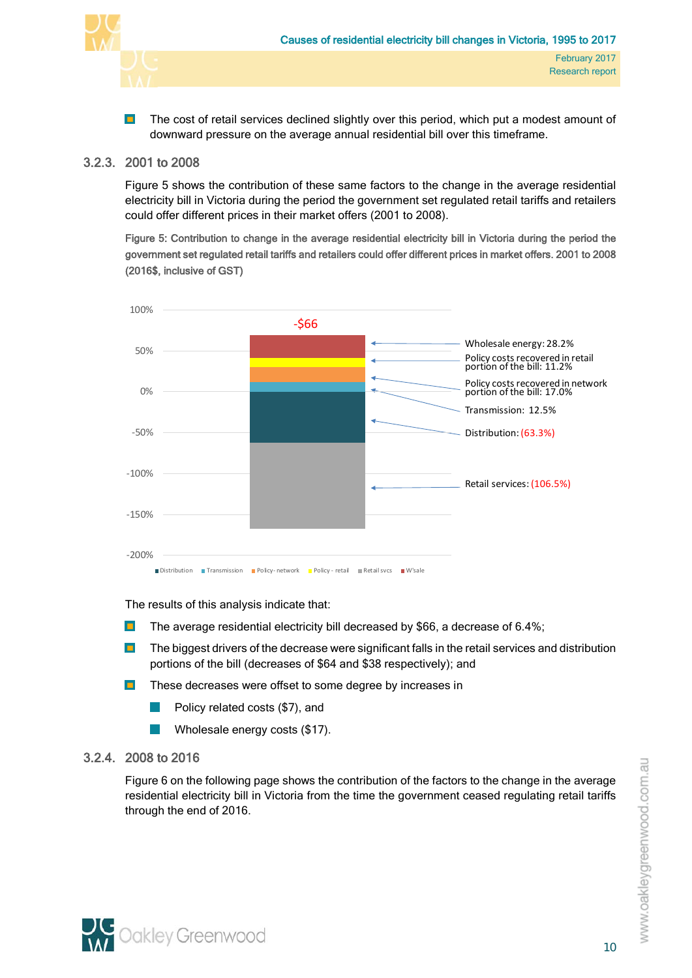

 $\blacksquare$ The cost of retail services declined slightly over this period, which put a modest amount of downward pressure on the average annual residential bill over this timeframe.

# 3.2.3. 2001 to 2008

<span id="page-25-0"></span>[Figure 5](#page-25-2) shows the contribution of these same factors to the change in the average residential electricity bill in Victoria during the period the government set regulated retail tariffs and retailers could offer different prices in their market offers (2001 to 2008).

<span id="page-25-2"></span>Figure 5: Contribution to change in the average residential electricity bill in Victoria during the period the government set regulated retail tariffs and retailers could offer different prices in market offers. 2001 to 2008 (2016\$, inclusive of GST)



The results of this analysis indicate that:

- $\blacksquare$ The average residential electricity bill decreased by \$66, a decrease of 6.4%;
- $\blacksquare$ The biggest drivers of the decrease were significant falls in the retail services and distribution portions of the bill (decreases of \$64 and \$38 respectively); and
- $\blacksquare$ These decreases were offset to some degree by increases in
	- Policy related costs (\$7), and
	- Wholesale energy costs (\$17).

# 3.2.4. 2008 to 2016

<span id="page-25-1"></span>[Figure 6](#page-26-1) on the following page shows the contribution of the factors to the change in the average residential electricity bill in Victoria from the time the government ceased regulating retail tariffs through the end of 2016.

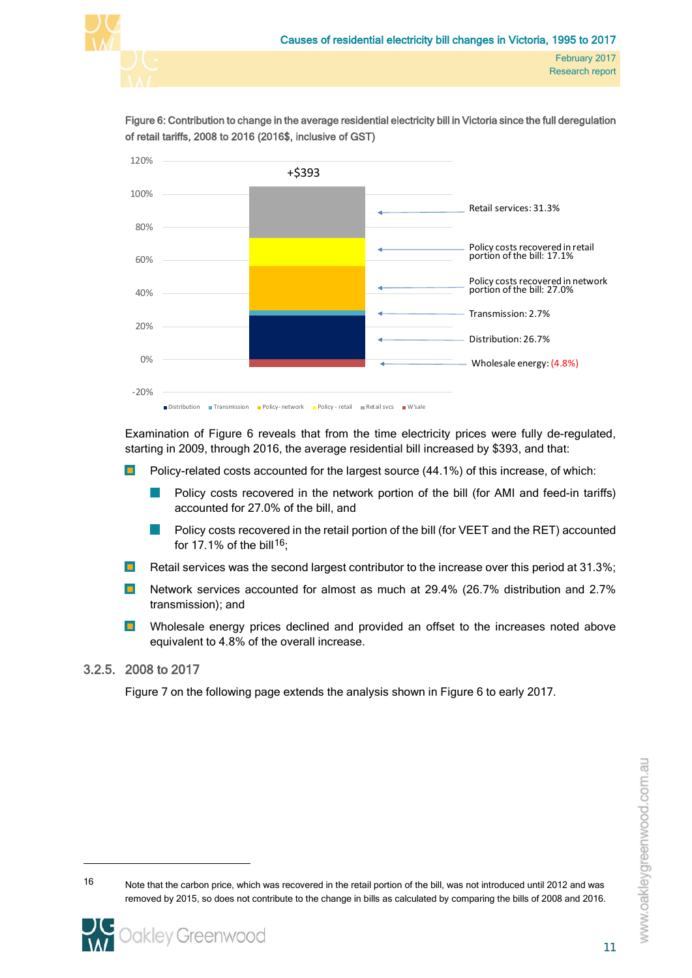

<span id="page-26-1"></span>Figure 6: Contribution to change in the average residential electricity bill in Victoria since the full deregulation of retail tariffs, 2008 to 2016 (2016\$, inclusive of GST)



Examination of [Figure 6](#page-26-1) reveals that from the time electricity prices were fully de-regulated, starting in 2009, through 2016, the average residential bill increased by \$393, and that:

- Policy-related costs accounted for the largest source (44.1%) of this increase, of which:  $\blacksquare$ 
	- Policy costs recovered in the network portion of the bill (for AMI and feed-in tariffs) accounted for 27.0% of the bill, and
	- Policy costs recovered in the retail portion of the bill (for VEET and the RET) accounted for 17.1% of the bill<sup>[16](#page-26-2)</sup>;
- $\blacksquare$ Retail services was the second largest contributor to the increase over this period at 31.3%;
- $\blacksquare$ Network services accounted for almost as much at 29.4% (26.7% distribution and 2.7% transmission); and
- $\blacksquare$ Wholesale energy prices declined and provided an offset to the increases noted above equivalent to 4.8% of the overall increase.

## 3.2.5. 2008 to 2017

 $\overline{a}$ 

<span id="page-26-0"></span>[Figure 7](#page-27-0) on the following page extends the analysis shown in [Figure 6](#page-26-1) to early 2017.

<span id="page-26-2"></span>16 Note that the carbon price, which was recovered in the retail portion of the bill, was not introduced until 2012 and was removed by 2015, so does not contribute to the change in bills as calculated by comparing the bills of 2008 and 2016.

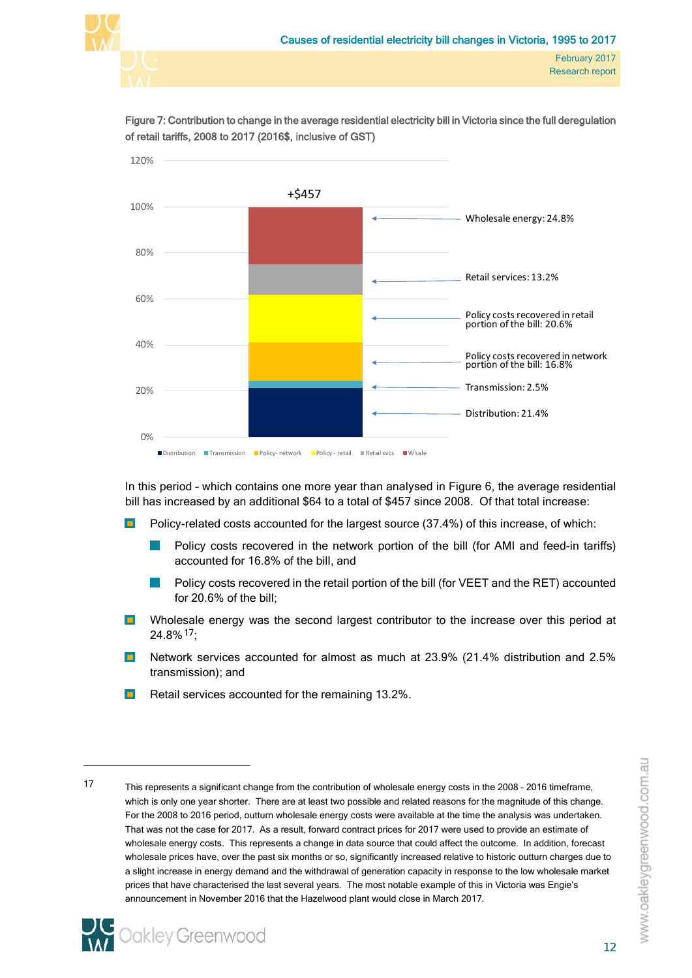



<span id="page-27-0"></span>Figure 7: Contribution to change in the average residential electricity bill in Victoria since the full deregulation of retail tariffs, 2008 to 2017 (2016\$, inclusive of GST)

In this period – which contains one more year than analysed in [Figure 6,](#page-26-1) the average residential bill has increased by an additional \$64 to a total of \$457 since 2008. Of that total increase:

- Policy-related costs accounted for the largest source (37.4%) of this increase, of which:  $\blacksquare$ 
	- Policy costs recovered in the network portion of the bill (for AMI and feed-in tariffs) accounted for 16.8% of the bill, and
	- Policy costs recovered in the retail portion of the bill (for VEET and the RET) accounted for 20.6% of the bill;
- $\blacksquare$ Wholesale energy was the second largest contributor to the increase over this period at 24.8%[17;](#page-27-1)
- $\blacksquare$ Network services accounted for almost as much at 23.9% (21.4% distribution and 2.5% transmission); and
- Retail services accounted for the remaining 13.2%.  $\blacksquare$

<span id="page-27-1"></span><sup>17</sup> This represents a significant change from the contribution of wholesale energy costs in the 2008 - 2016 timeframe, which is only one year shorter. There are at least two possible and related reasons for the magnitude of this change. For the 2008 to 2016 period, outturn wholesale energy costs were available at the time the analysis was undertaken. That was not the case for 2017. As a result, forward contract prices for 2017 were used to provide an estimate of wholesale energy costs. This represents a change in data source that could affect the outcome. In addition, forecast wholesale prices have, over the past six months or so, significantly increased relative to historic outturn charges due to a slight increase in energy demand and the withdrawal of generation capacity in response to the low wholesale market prices that have characterised the last several years. The most notable example of this in Victoria was Engie's announcement in November 2016 that the Hazelwood plant would close in March 2017.

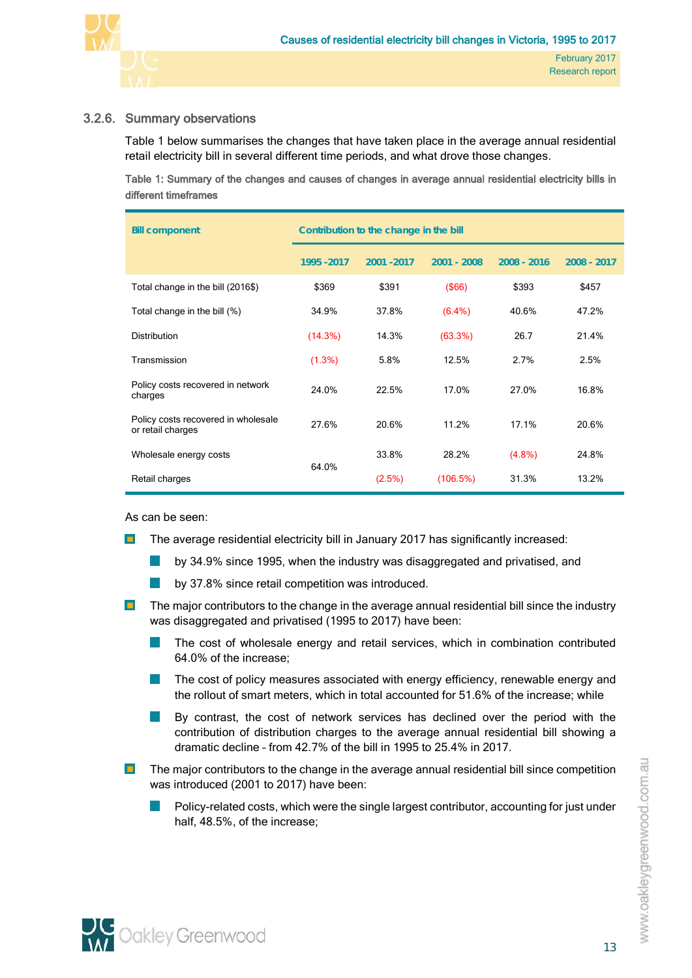

# 3.2.6. Summary observations

<span id="page-28-0"></span>[Table 1](#page-28-1) below summarises the changes that have taken place in the average annual residential retail electricity bill in several different time periods, and what drove those changes.

<span id="page-28-1"></span>Table 1: Summary of the changes and causes of changes in average annual residential electricity bills in different timeframes

| <b>Bill component</b>                                    | Contribution to the change in the bill |             |               |               |             |  |  |  |  |  |  |
|----------------------------------------------------------|----------------------------------------|-------------|---------------|---------------|-------------|--|--|--|--|--|--|
|                                                          | 1995 - 2017                            | 2001 - 2017 | $2001 - 2008$ | $2008 - 2016$ | 2008 - 2017 |  |  |  |  |  |  |
| Total change in the bill (2016\$)                        | \$369                                  | \$391       | $($ \$66)     | \$393         | \$457       |  |  |  |  |  |  |
| Total change in the bill (%)                             | 34.9%                                  | 37.8%       | $(6.4\%)$     | 40.6%         | 47.2%       |  |  |  |  |  |  |
| <b>Distribution</b>                                      | (14.3%)                                | 14.3%       | (63.3%)       | 26.7          | 21.4%       |  |  |  |  |  |  |
| Transmission                                             | $(1.3\%)$                              | 5.8%        | 12.5%         | 2.7%          | 2.5%        |  |  |  |  |  |  |
| Policy costs recovered in network<br>charges             | 24.0%                                  | 22.5%       | 17.0%         | 27.0%         | 16.8%       |  |  |  |  |  |  |
| Policy costs recovered in wholesale<br>or retail charges | 27.6%                                  | 20.6%       | 11.2%         | 17.1%         | 20.6%       |  |  |  |  |  |  |
| Wholesale energy costs                                   |                                        | 33.8%       | 28.2%         | $(4.8\%)$     | 24.8%       |  |  |  |  |  |  |
| Retail charges                                           | 64.0%                                  | (2.5%)      | (106.5%)      | 31.3%         | 13.2%       |  |  |  |  |  |  |

As can be seen:

- The average residential electricity bill in January 2017 has significantly increased:  $\blacksquare$ 
	- $\mathbb{R}^3$ by 34.9% since 1995, when the industry was disaggregated and privatised, and
	- P. by 37.8% since retail competition was introduced.
- $\Box$  The major contributors to the change in the average annual residential bill since the industry was disaggregated and privatised (1995 to 2017) have been:
	- The cost of wholesale energy and retail services, which in combination contributed 64.0% of the increase;
	- The cost of policy measures associated with energy efficiency, renewable energy and ш the rollout of smart meters, which in total accounted for 51.6% of the increase; while
	- By contrast, the cost of network services has declined over the period with the contribution of distribution charges to the average annual residential bill showing a dramatic decline – from 42.7% of the bill in 1995 to 25.4% in 2017.
- The major contributors to the change in the average annual residential bill since competition  $\blacksquare$ was introduced (2001 to 2017) have been:
	- l. Policy-related costs, which were the single largest contributor, accounting for just under half, 48.5%, of the increase;

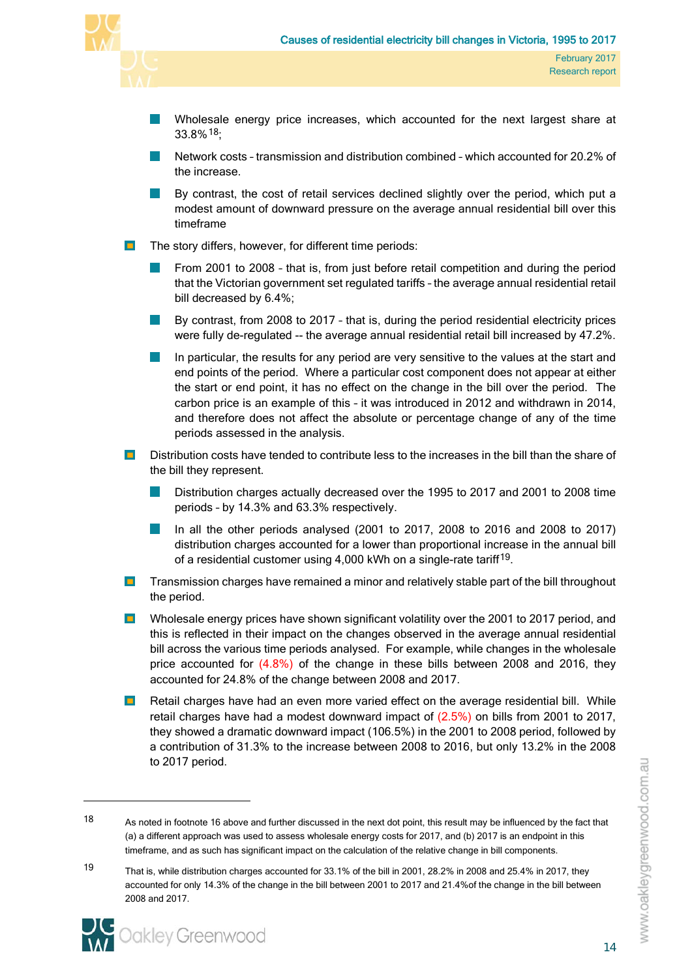

- Wholesale energy price increases, which accounted for the next largest share at 33.8%[18](#page-29-0);
- Network costs transmission and distribution combined which accounted for 20.2% of the increase.
- By contrast, the cost of retail services declined slightly over the period, which put a modest amount of downward pressure on the average annual residential bill over this timeframe
- $\blacksquare$ The story differs, however, for different time periods:
	- From 2001 to 2008 that is, from just before retail competition and during the period that the Victorian government set regulated tariffs – the average annual residential retail bill decreased by 6.4%;
	- By contrast, from 2008 to 2017 that is, during the period residential electricity prices were fully de-regulated -- the average annual residential retail bill increased by 47.2%.
	- In particular, the results for any period are very sensitive to the values at the start and end points of the period. Where a particular cost component does not appear at either the start or end point, it has no effect on the change in the bill over the period. The carbon price is an example of this – it was introduced in 2012 and withdrawn in 2014, and therefore does not affect the absolute or percentage change of any of the time periods assessed in the analysis.
- $\blacksquare$ Distribution costs have tended to contribute less to the increases in the bill than the share of the bill they represent.
	- Distribution charges actually decreased over the 1995 to 2017 and 2001 to 2008 time periods – by 14.3% and 63.3% respectively.
	- In all the other periods analysed (2001 to 2017, 2008 to 2016 and 2008 to 2017) l. distribution charges accounted for a lower than proportional increase in the annual bill of a residential customer using 4,000 kWh on a single-rate tariff<sup>[19](#page-29-1)</sup>.
- **Transmission charges have remained a minor and relatively stable part of the bill throughout** the period.
- $\blacksquare$ Wholesale energy prices have shown significant volatility over the 2001 to 2017 period, and this is reflected in their impact on the changes observed in the average annual residential bill across the various time periods analysed. For example, while changes in the wholesale price accounted for (4.8%) of the change in these bills between 2008 and 2016, they accounted for 24.8% of the change between 2008 and 2017.
- $\mathbf{m}_\mathrm{c}$ Retail charges have had an even more varied effect on the average residential bill. While retail charges have had a modest downward impact of (2.5%) on bills from 2001 to 2017, they showed a dramatic downward impact (106.5%) in the 2001 to 2008 period, followed by a contribution of 31.3% to the increase between 2008 to 2016, but only 13.2% in the 2008 to 2017 period.

<span id="page-29-1"></span><sup>19</sup> That is, while distribution charges accounted for 33.1% of the bill in 2001, 28.2% in 2008 and 25.4% in 2017, they accounted for only 14.3% of the change in the bill between 2001 to 2017 and 21.4%of the change in the bill between 2008 and 2017.



<span id="page-29-0"></span><sup>18</sup> As noted in footnote 16 above and further discussed in the next dot point, this result may be influenced by the fact that (a) a different approach was used to assess wholesale energy costs for 2017, and (b) 2017 is an endpoint in this timeframe, and as such has significant impact on the calculation of the relative change in bill components.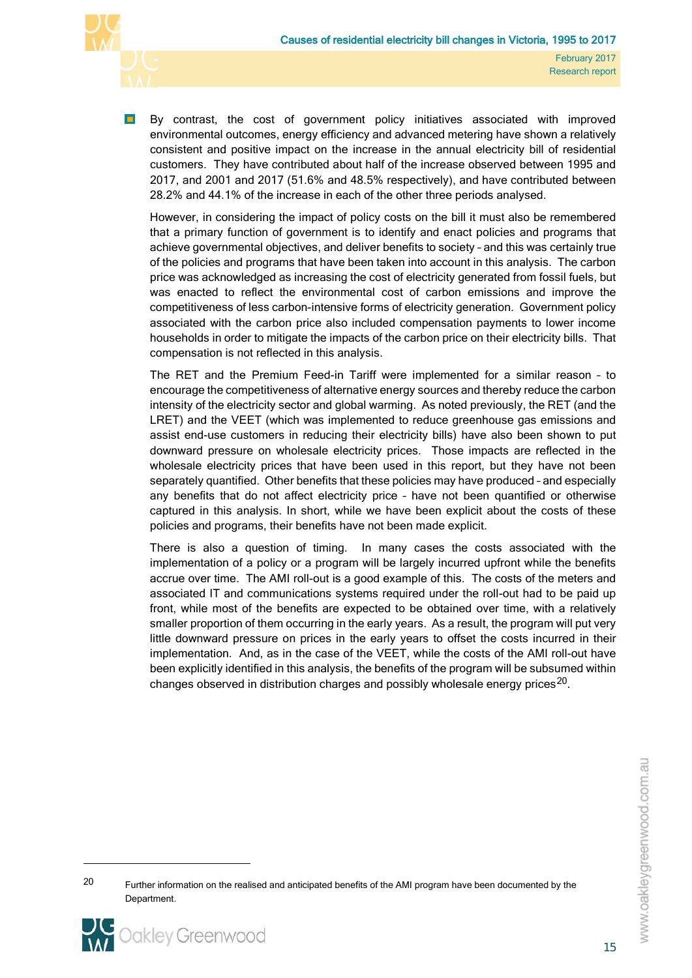

 $\blacksquare$ By contrast, the cost of government policy initiatives associated with improved environmental outcomes, energy efficiency and advanced metering have shown a relatively consistent and positive impact on the increase in the annual electricity bill of residential customers. They have contributed about half of the increase observed between 1995 and 2017, and 2001 and 2017 (51.6% and 48.5% respectively), and have contributed between 28.2% and 44.1% of the increase in each of the other three periods analysed.

However, in considering the impact of policy costs on the bill it must also be remembered that a primary function of government is to identify and enact policies and programs that achieve governmental objectives, and deliver benefits to society – and this was certainly true of the policies and programs that have been taken into account in this analysis. The carbon price was acknowledged as increasing the cost of electricity generated from fossil fuels, but was enacted to reflect the environmental cost of carbon emissions and improve the competitiveness of less carbon-intensive forms of electricity generation. Government policy associated with the carbon price also included compensation payments to lower income households in order to mitigate the impacts of the carbon price on their electricity bills. That compensation is not reflected in this analysis.

The RET and the Premium Feed-in Tariff were implemented for a similar reason – to encourage the competitiveness of alternative energy sources and thereby reduce the carbon intensity of the electricity sector and global warming. As noted previously, the RET (and the LRET) and the VEET (which was implemented to reduce greenhouse gas emissions and assist end-use customers in reducing their electricity bills) have also been shown to put downward pressure on wholesale electricity prices. Those impacts are reflected in the wholesale electricity prices that have been used in this report, but they have not been separately quantified. Other benefits that these policies may have produced – and especially any benefits that do not affect electricity price – have not been quantified or otherwise captured in this analysis. In short, while we have been explicit about the costs of these policies and programs, their benefits have not been made explicit.

There is also a question of timing. In many cases the costs associated with the implementation of a policy or a program will be largely incurred upfront while the benefits accrue over time. The AMI roll-out is a good example of this. The costs of the meters and associated IT and communications systems required under the roll-out had to be paid up front, while most of the benefits are expected to be obtained over time, with a relatively smaller proportion of them occurring in the early years. As a result, the program will put very little downward pressure on prices in the early years to offset the costs incurred in their implementation. And, as in the case of the VEET, while the costs of the AMI roll-out have been explicitly identified in this analysis, the benefits of the program will be subsumed within changes observed in distribution charges and possibly wholesale energy prices<sup>[20](#page-30-0)</sup>.

<span id="page-30-0"></span><sup>&</sup>lt;sup>20</sup> Further information on the realised and anticipated benefits of the AMI program have been documented by the Department.

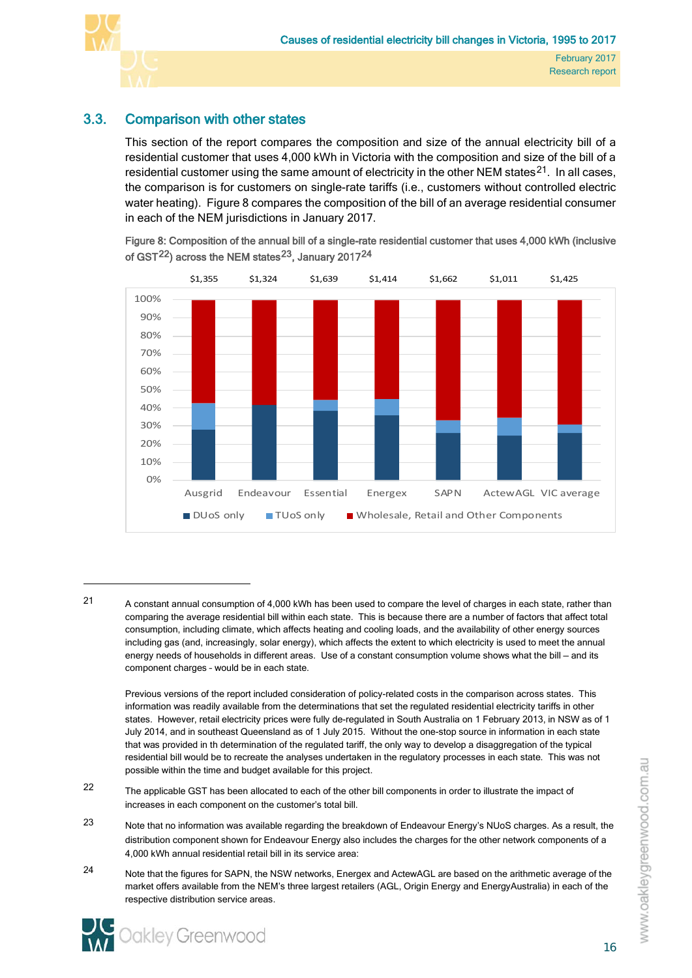

l

# 3.3. Comparison with other states

<span id="page-31-0"></span>This section of the report compares the composition and size of the annual electricity bill of a residential customer that uses 4,000 kWh in Victoria with the composition and size of the bill of a residential customer using the same amount of electricity in the other NEM states $^{21}$ . In all cases, the comparison is for customers on single-rate tariffs (i.e., customers without controlled electric water heating). [Figure 8](#page-31-1) compares the composition of the bill of an average residential consumer in each of the NEM jurisdictions in January 2017.

<span id="page-31-1"></span>Figure 8: Composition of the annual bill of a single-rate residential customer that uses 4,000 kWh (inclusive of GST $^{22}$ ) across the NEM states $^{23}$  $^{23}$  $^{23}$ , January 2017 $^{24}$  $^{24}$  $^{24}$ 



<span id="page-31-2"></span>21 A constant annual consumption of 4,000 kWh has been used to compare the level of charges in each state, rather than comparing the average residential bill within each state. This is because there are a number of factors that affect total consumption, including climate, which affects heating and cooling loads, and the availability of other energy sources including gas (and, increasingly, solar energy), which affects the extent to which electricity is used to meet the annual energy needs of households in different areas. Use of a constant consumption volume shows what the bill – and its component charges – would be in each state.

Previous versions of the report included consideration of policy-related costs in the comparison across states. This information was readily available from the determinations that set the regulated residential electricity tariffs in other states. However, retail electricity prices were fully de-regulated in South Australia on 1 February 2013, in NSW as of 1 July 2014, and in southeast Queensland as of 1 July 2015. Without the one-stop source in information in each state that was provided in th determination of the regulated tariff, the only way to develop a disaggregation of the typical residential bill would be to recreate the analyses undertaken in the regulatory processes in each state. This was not possible within the time and budget available for this project.

- <span id="page-31-3"></span>22 The applicable GST has been allocated to each of the other bill components in order to illustrate the impact of increases in each component on the customer's total bill.
- <span id="page-31-4"></span>23 Note that no information was available regarding the breakdown of Endeavour Energy's NUoS charges. As a result, the distribution component shown for Endeavour Energy also includes the charges for the other network components of a 4,000 kWh annual residential retail bill in its service area:
- <span id="page-31-5"></span>24 Note that the figures for SAPN, the NSW networks, Energex and ActewAGL are based on the arithmetic average of the market offers available from the NEM's three largest retailers (AGL, Origin Energy and EnergyAustralia) in each of the respective distribution service areas.

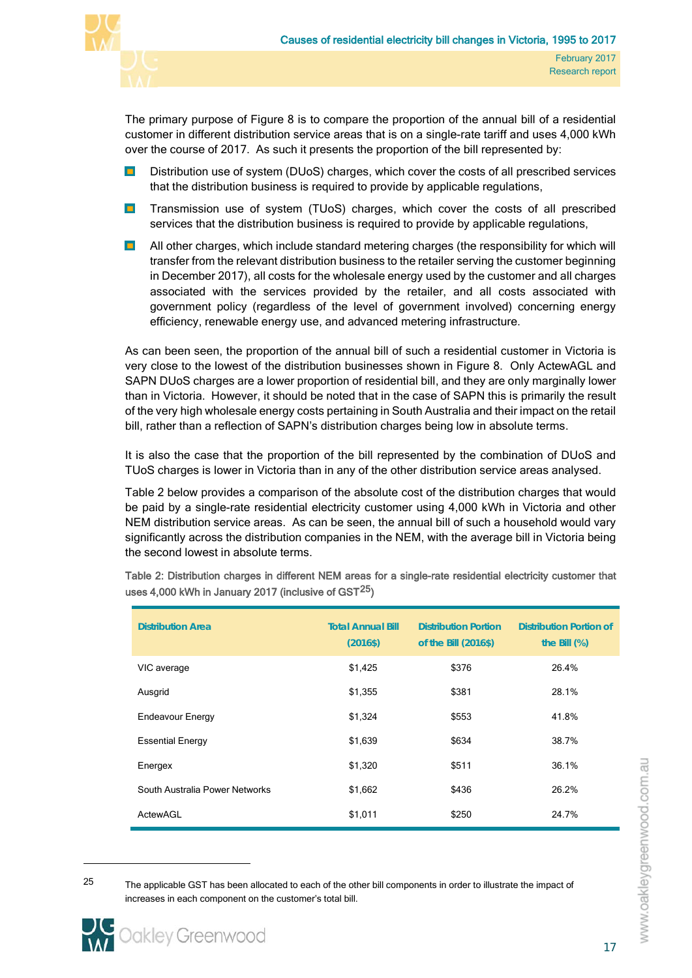

The primary purpose of [Figure 8](#page-31-1) is to compare the proportion of the annual bill of a residential customer in different distribution service areas that is on a single-rate tariff and uses 4,000 kWh over the course of 2017. As such it presents the proportion of the bill represented by:

- Distribution use of system (DUoS) charges, which cover the costs of all prescribed services  $\blacksquare$ that the distribution business is required to provide by applicable regulations,
- $\blacksquare$ Transmission use of system (TUoS) charges, which cover the costs of all prescribed services that the distribution business is required to provide by applicable regulations,
- $\blacksquare$ All other charges, which include standard metering charges (the responsibility for which will transfer from the relevant distribution business to the retailer serving the customer beginning in December 2017), all costs for the wholesale energy used by the customer and all charges associated with the services provided by the retailer, and all costs associated with government policy (regardless of the level of government involved) concerning energy efficiency, renewable energy use, and advanced metering infrastructure.

As can been seen, the proportion of the annual bill of such a residential customer in Victoria is very close to the lowest of the distribution businesses shown in [Figure 8.](#page-31-1) Only ActewAGL and SAPN DUoS charges are a lower proportion of residential bill, and they are only marginally lower than in Victoria. However, it should be noted that in the case of SAPN this is primarily the result of the very high wholesale energy costs pertaining in South Australia and their impact on the retail bill, rather than a reflection of SAPN's distribution charges being low in absolute terms.

It is also the case that the proportion of the bill represented by the combination of DUoS and TUoS charges is lower in Victoria than in any of the other distribution service areas analysed.

[Table 2](#page-32-0) below provides a comparison of the absolute cost of the distribution charges that would be paid by a single-rate residential electricity customer using 4,000 kWh in Victoria and other NEM distribution service areas. As can be seen, the annual bill of such a household would vary significantly across the distribution companies in the NEM, with the average bill in Victoria being the second lowest in absolute terms.

| <b>Distribution Area</b>       | <b>Total Annual Bill</b><br>$(2016\$ | <b>Distribution Portion</b><br>of the Bill (2016\$) | <b>Distribution Portion of</b><br>the Bill $(\%)$ |
|--------------------------------|--------------------------------------|-----------------------------------------------------|---------------------------------------------------|
| VIC average                    | \$1,425                              | \$376                                               | 26.4%                                             |
| Ausgrid                        | \$1,355                              | \$381                                               | 28.1%                                             |
| <b>Endeavour Energy</b>        | \$1,324                              | \$553                                               | 41.8%                                             |
| <b>Essential Energy</b>        | \$1,639                              | \$634                                               | 38.7%                                             |
| Energex                        | \$1,320                              | \$511                                               | 36.1%                                             |
| South Australia Power Networks | \$1,662                              | \$436                                               | 26.2%                                             |
| ActewAGL                       | \$1,011                              | \$250                                               | 24.7%                                             |

<span id="page-32-0"></span>Table 2: Distribution charges in different NEM areas for a single-rate residential electricity customer that uses 4,000 kWh in January 2017 (inclusive of GST<sup>[25](#page-32-1)</sup>)

<span id="page-32-1"></span><sup>&</sup>lt;sup>25</sup> The applicable GST has been allocated to each of the other bill components in order to illustrate the impact of increases in each component on the customer's total bill.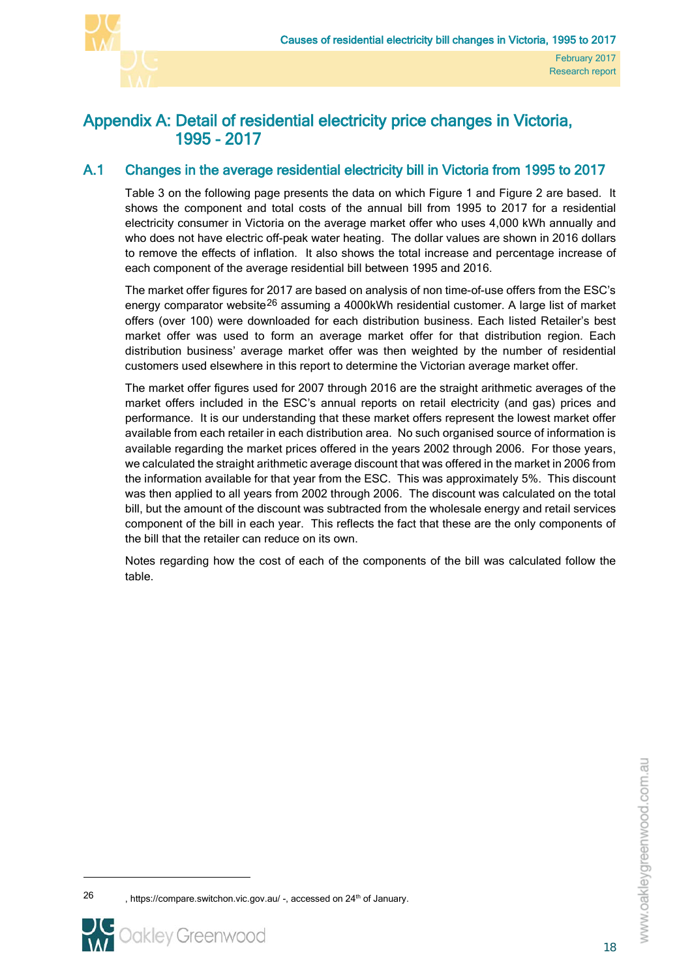

# <span id="page-33-0"></span>Appendix A: Detail of residential electricity price changes in Victoria, 1995 - 2017

# A.1 Changes in the average residential electricity bill in Victoria from 1995 to 2017

<span id="page-33-1"></span>[Table 3](#page-34-0) on the following page presents the data on which [Figure 1](#page-21-0) and [Figure 2](#page-22-0) are based. It shows the component and total costs of the annual bill from 1995 to 2017 for a residential electricity consumer in Victoria on the average market offer who uses 4,000 kWh annually and who does not have electric off-peak water heating. The dollar values are shown in 2016 dollars to remove the effects of inflation. It also shows the total increase and percentage increase of each component of the average residential bill between 1995 and 2016.

The market offer figures for 2017 are based on analysis of non time-of-use offers from the ESC's energy comparator website<sup>[26](#page-33-2)</sup> assuming a 4000kWh residential customer. A large list of market offers (over 100) were downloaded for each distribution business. Each listed Retailer's best market offer was used to form an average market offer for that distribution region. Each distribution business' average market offer was then weighted by the number of residential customers used elsewhere in this report to determine the Victorian average market offer.

The market offer figures used for 2007 through 2016 are the straight arithmetic averages of the market offers included in the ESC's annual reports on retail electricity (and gas) prices and performance. It is our understanding that these market offers represent the lowest market offer available from each retailer in each distribution area. No such organised source of information is available regarding the market prices offered in the years 2002 through 2006. For those years, we calculated the straight arithmetic average discount that was offered in the market in 2006 from the information available for that year from the ESC. This was approximately 5%. This discount was then applied to all years from 2002 through 2006. The discount was calculated on the total bill, but the amount of the discount was subtracted from the wholesale energy and retail services component of the bill in each year. This reflects the fact that these are the only components of the bill that the retailer can reduce on its own.

Notes regarding how the cost of each of the components of the bill was calculated follow the table.

<span id="page-33-2"></span>

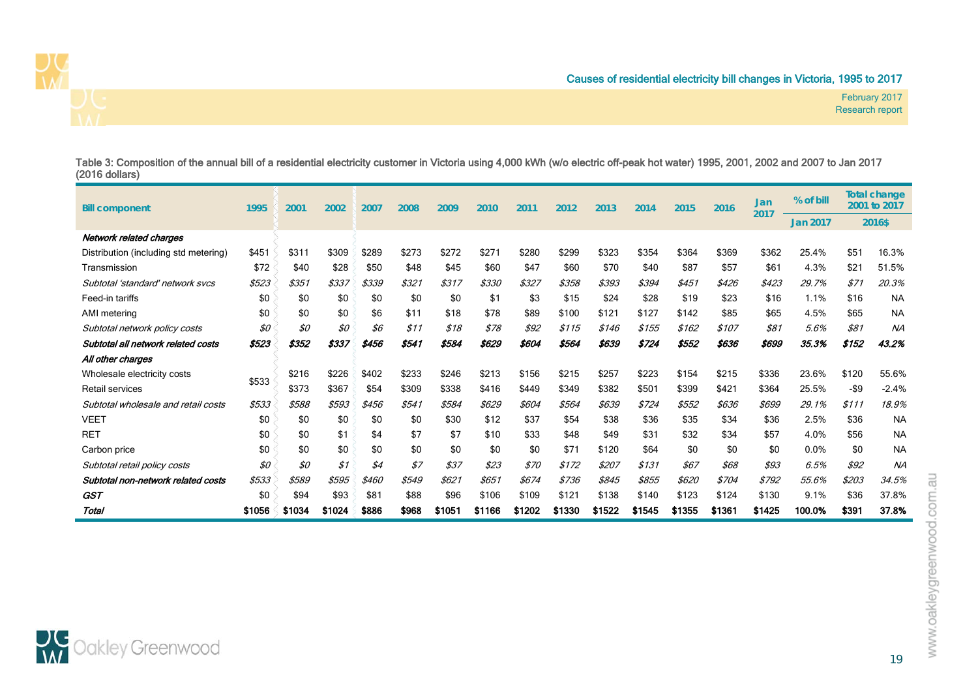

February 2017 Research report

Table 3: Composition of the annual bill of a residential electricity customer in Victoria using 4,000 kWh (w/o electric off-peak hot water) 1995, 2001, 2002 and 2007 to Jan 2017 (2016 dollars)

| <b>Bill component</b>                 | 1995   | 2001   | 2002   | 2007  | 2008  | 2009  | 2010   | 2011   | 2012   | 2013   | 2014   | 2015   | 2016   | Jan<br>2017 | % of bill       |        | <b>Total change</b><br>2001 to 2017 |  |
|---------------------------------------|--------|--------|--------|-------|-------|-------|--------|--------|--------|--------|--------|--------|--------|-------------|-----------------|--------|-------------------------------------|--|
|                                       |        |        |        |       |       |       |        |        |        |        |        |        |        |             | <b>Jan 2017</b> | 2016\$ |                                     |  |
| Network related charges               |        |        |        |       |       |       |        |        |        |        |        |        |        |             |                 |        |                                     |  |
| Distribution (including std metering) | \$451  | \$311  | \$309  | \$289 | \$273 | \$272 | \$271  | \$280  | \$299  | \$323  | \$354  | \$364  | \$369  | \$362       | 25.4%           | \$51   | 16.3%                               |  |
| Transmission                          | \$72   | \$40   | \$28   | \$50  | \$48  | \$45  | \$60   | \$47   | \$60   | \$70   | \$40   | \$87   | \$57   | \$61        | 4.3%            | \$21   | 51.5%                               |  |
| Subtotal 'standard' network svcs      | \$523  | \$351  | \$337  | \$339 | \$321 | \$317 | \$330  | \$327  | \$358  | \$393  | \$394  | \$451  | \$426  | \$423       | 29.7%           | \$71   | 20.3%                               |  |
| Feed-in tariffs                       | \$0    | \$0    | \$0    | \$0   | \$0   | \$0   | \$1    | \$3    | \$15   | \$24   | \$28   | \$19   | \$23   | \$16        | 1.1%            | \$16   | <b>NA</b>                           |  |
| AMI metering                          | \$0    | \$0    | \$0    | \$6   | \$11  | \$18  | \$78   | \$89   | \$100  | \$121  | \$127  | \$142  | \$85   | \$65        | 4.5%            | \$65   | <b>NA</b>                           |  |
| Subtotal network policy costs         | \$0    | \$0    | \$0    | \$6   | \$11  | \$18  | \$78   | \$92   | \$115  | \$146  | \$155  | \$162  | \$107  | \$81        | 5.6%            | \$81   | <b>NA</b>                           |  |
| Subtotal all network related costs    | \$523  | \$352  | \$337  | \$456 | \$541 | \$584 | \$629  | \$604  | \$564  | \$639  | \$724  | \$552  | \$636  | \$699       | 35.3%           | \$152  | 43.2%                               |  |
| All other charges                     |        |        |        |       |       |       |        |        |        |        |        |        |        |             |                 |        |                                     |  |
| Wholesale electricity costs           | \$533  | \$216  | \$226  | \$402 | \$233 | \$246 | \$213  | \$156  | \$215  | \$257  | \$223  | \$154  | \$215  | \$336       | 23.6%           | \$120  | 55.6%                               |  |
| Retail services                       |        | \$373  | \$367  | \$54  | \$309 | \$338 | \$416  | \$449  | \$349  | \$382  | \$501  | \$399  | \$421  | \$364       | 25.5%           | -\$9   | $-2.4%$                             |  |
| Subtotal wholesale and retail costs   | \$533  | \$588  | \$593  | \$456 | \$541 | \$584 | \$629  | \$604  | \$564  | \$639  | \$724  | \$552  | \$636  | \$699       | 29.1%           | \$111  | 18.9%                               |  |
| <b>VEET</b>                           | \$0    | \$0    | \$0    | \$0   | \$0   | \$30  | \$12   | \$37   | \$54   | \$38   | \$36   | \$35   | \$34   | \$36        | 2.5%            | \$36   | <b>NA</b>                           |  |
| <b>RET</b>                            | \$0    | \$0    | \$1    | \$4   | \$7   | \$7   | \$10   | \$33   | \$48   | \$49   | \$31   | \$32   | \$34   | \$57        | 4.0%            | \$56   | <b>NA</b>                           |  |
| Carbon price                          | \$0    | \$0    | \$0    | \$0   | \$0   | \$0   | \$0    | \$0    | \$71   | \$120  | \$64   | \$0    | \$0    | \$0         | 0.0%            | \$0    | <b>NA</b>                           |  |
| Subtotal retail policy costs          | \$0    | \$0    | \$1    | \$4   | \$7   | \$37  | \$23   | \$70   | \$172  | \$207  | \$131  | \$67   | \$68   | \$93        | 6.5%            | \$92   | <b>NA</b>                           |  |
| Subtotal non-network related costs    | \$533  | \$589  | \$595  | \$460 | \$549 | \$621 | \$651  | \$674  | \$736  | \$845  | \$855  | \$620  | \$704  | \$792       | 55.6%           | \$203  | 34.5%                               |  |
| <b>GST</b>                            | \$0    | \$94   | \$93   | \$81  | \$88  | \$96  | \$106  | \$109  | \$121  | \$138  | \$140  | \$123  | \$124  | \$130       | 9.1%            | \$36   | 37.8%                               |  |
| Total                                 | \$1056 | \$1034 | \$1024 | \$886 | \$968 | \$105 | \$1166 | \$1202 | \$1330 | \$1522 | \$1545 | \$1355 | \$1361 | \$1425      | 100.0%          | \$391  | 37.8%                               |  |

<span id="page-34-0"></span>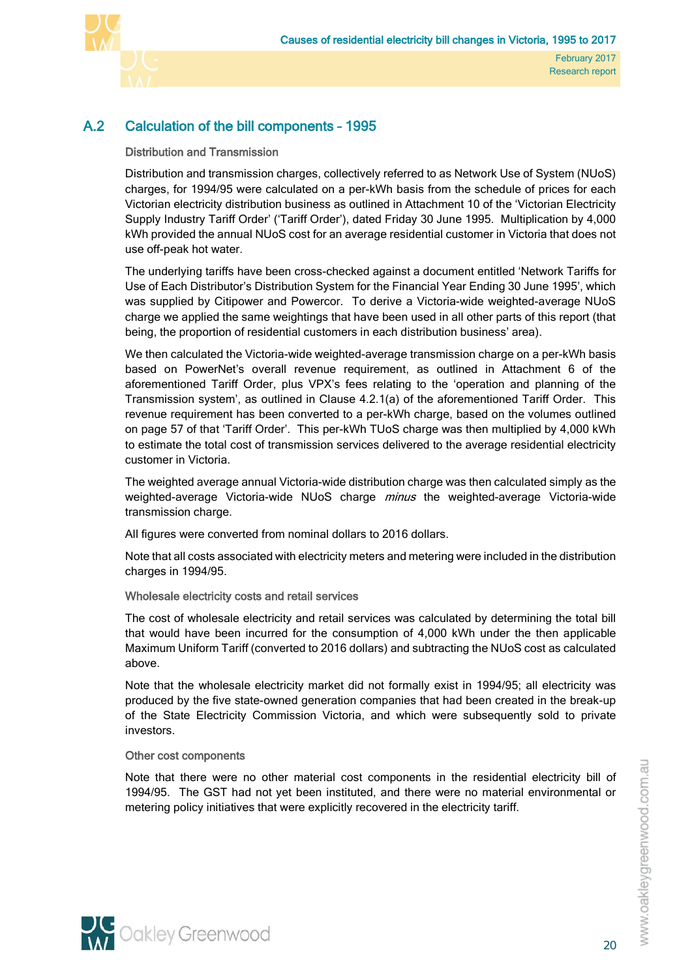

# A.2 Calculation of the bill components – 1995

# <span id="page-35-0"></span>Distribution and Transmission

Distribution and transmission charges, collectively referred to as Network Use of System (NUoS) charges, for 1994/95 were calculated on a per-kWh basis from the schedule of prices for each Victorian electricity distribution business as outlined in Attachment 10 of the 'Victorian Electricity Supply Industry Tariff Order' ('Tariff Order'), dated Friday 30 June 1995. Multiplication by 4,000 kWh provided the annual NUoS cost for an average residential customer in Victoria that does not use off-peak hot water.

The underlying tariffs have been cross-checked against a document entitled 'Network Tariffs for Use of Each Distributor's Distribution System for the Financial Year Ending 30 June 1995', which was supplied by Citipower and Powercor. To derive a Victoria-wide weighted-average NUoS charge we applied the same weightings that have been used in all other parts of this report (that being, the proportion of residential customers in each distribution business' area).

We then calculated the Victoria-wide weighted-average transmission charge on a per-kWh basis based on PowerNet's overall revenue requirement, as outlined in Attachment 6 of the aforementioned Tariff Order, plus VPX's fees relating to the 'operation and planning of the Transmission system', as outlined in Clause 4.2.1(a) of the aforementioned Tariff Order. This revenue requirement has been converted to a per-kWh charge, based on the volumes outlined on page 57 of that 'Tariff Order'. This per-kWh TUoS charge was then multiplied by 4,000 kWh to estimate the total cost of transmission services delivered to the average residential electricity customer in Victoria.

The weighted average annual Victoria-wide distribution charge was then calculated simply as the weighted-average Victoria-wide NUoS charge minus the weighted-average Victoria-wide transmission charge.

All figures were converted from nominal dollars to 2016 dollars.

Note that all costs associated with electricity meters and metering were included in the distribution charges in 1994/95.

## Wholesale electricity costs and retail services

The cost of wholesale electricity and retail services was calculated by determining the total bill that would have been incurred for the consumption of 4,000 kWh under the then applicable Maximum Uniform Tariff (converted to 2016 dollars) and subtracting the NUoS cost as calculated above.

Note that the wholesale electricity market did not formally exist in 1994/95; all electricity was produced by the five state-owned generation companies that had been created in the break-up of the State Electricity Commission Victoria, and which were subsequently sold to private investors.

## Other cost components

Note that there were no other material cost components in the residential electricity bill of 1994/95. The GST had not yet been instituted, and there were no material environmental or metering policy initiatives that were explicitly recovered in the electricity tariff.

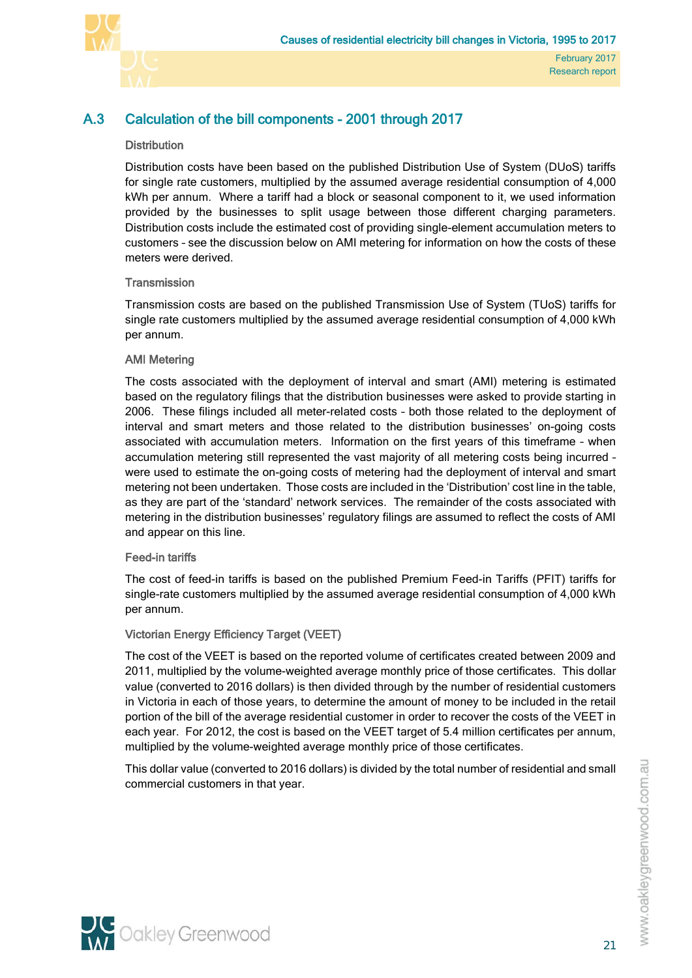

# A.3 Calculation of the bill components - 2001 through 2017

# <span id="page-36-0"></span>**Distribution**

Distribution costs have been based on the published Distribution Use of System (DUoS) tariffs for single rate customers, multiplied by the assumed average residential consumption of 4,000 kWh per annum. Where a tariff had a block or seasonal component to it, we used information provided by the businesses to split usage between those different charging parameters. Distribution costs include the estimated cost of providing single-element accumulation meters to customers – see the discussion below on AMI metering for information on how the costs of these meters were derived.

## **Transmission**

Transmission costs are based on the published Transmission Use of System (TUoS) tariffs for single rate customers multiplied by the assumed average residential consumption of 4,000 kWh per annum.

# AMI Metering

The costs associated with the deployment of interval and smart (AMI) metering is estimated based on the regulatory filings that the distribution businesses were asked to provide starting in 2006. These filings included all meter-related costs – both those related to the deployment of interval and smart meters and those related to the distribution businesses' on-going costs associated with accumulation meters. Information on the first years of this timeframe – when accumulation metering still represented the vast majority of all metering costs being incurred – were used to estimate the on-going costs of metering had the deployment of interval and smart metering not been undertaken. Those costs are included in the 'Distribution' cost line in the table, as they are part of the 'standard' network services. The remainder of the costs associated with metering in the distribution businesses' regulatory filings are assumed to reflect the costs of AMI and appear on this line.

## Feed-in tariffs

The cost of feed-in tariffs is based on the published Premium Feed-in Tariffs (PFIT) tariffs for single-rate customers multiplied by the assumed average residential consumption of 4,000 kWh per annum.

# Victorian Energy Efficiency Target (VEET)

The cost of the VEET is based on the reported volume of certificates created between 2009 and 2011, multiplied by the volume-weighted average monthly price of those certificates. This dollar value (converted to 2016 dollars) is then divided through by the number of residential customers in Victoria in each of those years, to determine the amount of money to be included in the retail portion of the bill of the average residential customer in order to recover the costs of the VEET in each year. For 2012, the cost is based on the VEET target of 5.4 million certificates per annum, multiplied by the volume-weighted average monthly price of those certificates.

This dollar value (converted to 2016 dollars) is divided by the total number of residential and small commercial customers in that year.



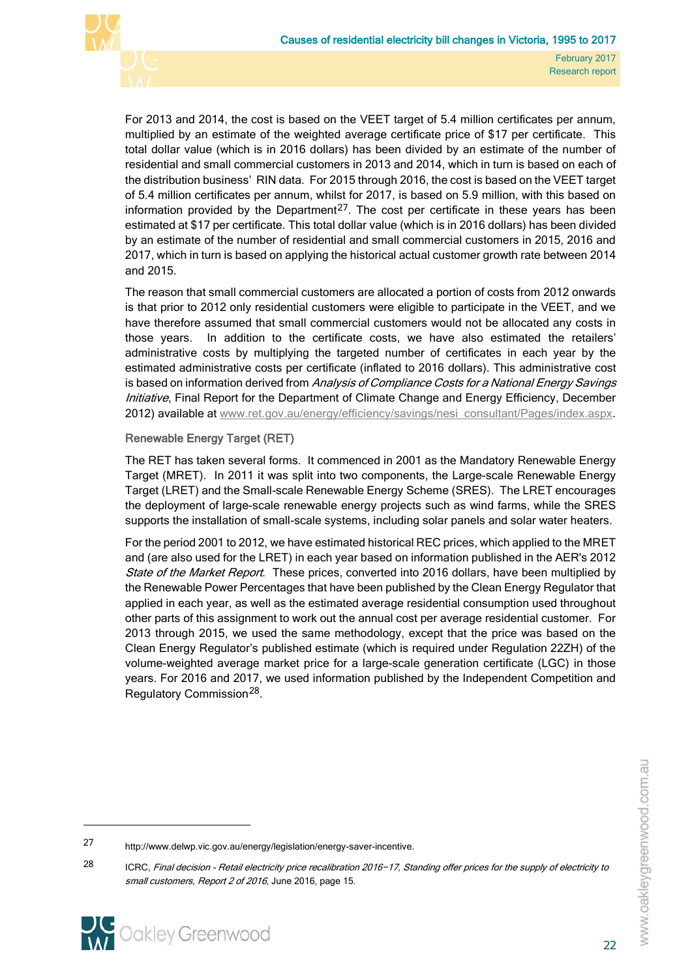

For 2013 and 2014, the cost is based on the VEET target of 5.4 million certificates per annum, multiplied by an estimate of the weighted average certificate price of \$17 per certificate. This total dollar value (which is in 2016 dollars) has been divided by an estimate of the number of residential and small commercial customers in 2013 and 2014, which in turn is based on each of the distribution business' RIN data. For 2015 through 2016, the cost is based on the VEET target of 5.4 million certificates per annum, whilst for 2017, is based on 5.9 million, with this based on information provided by the Department<sup>27</sup>. The cost per certificate in these years has been estimated at \$17 per certificate. This total dollar value (which is in 2016 dollars) has been divided by an estimate of the number of residential and small commercial customers in 2015, 2016 and 2017, which in turn is based on applying the historical actual customer growth rate between 2014 and 2015.

The reason that small commercial customers are allocated a portion of costs from 2012 onwards is that prior to 2012 only residential customers were eligible to participate in the VEET, and we have therefore assumed that small commercial customers would not be allocated any costs in those years. In addition to the certificate costs, we have also estimated the retailers' administrative costs by multiplying the targeted number of certificates in each year by the estimated administrative costs per certificate (inflated to 2016 dollars). This administrative cost is based on information derived from Analysis of Compliance Costs for a National Energy Savings Initiative, Final Report for the Department of Climate Change and Energy Efficiency, December 2012) available at [www.ret.gov.au/energy/efficiency/savings/nesi\\_consultant/Pages/index.aspx.](http://www.ret.gov.au/energy/efficiency/savings/nesi_consultant/Pages/index.aspx)

# Renewable Energy Target (RET)

The RET has taken several forms. It commenced in 2001 as the Mandatory Renewable Energy Target (MRET). In 2011 it was split into two components, the Large-scale Renewable Energy Target (LRET) and the Small-scale Renewable Energy Scheme (SRES). The LRET encourages the deployment of large-scale renewable energy projects such as wind farms, while the SRES supports the installation of small-scale systems, including solar panels and solar water heaters.

For the period 2001 to 2012, we have estimated historical REC prices, which applied to the MRET and (are also used for the LRET) in each year based on information published in the AER's 2012 State of the Market Report. These prices, converted into 2016 dollars, have been multiplied by the Renewable Power Percentages that have been published by the Clean Energy Regulator that applied in each year, as well as the estimated average residential consumption used throughout other parts of this assignment to work out the annual cost per average residential customer. For 2013 through 2015, we used the same methodology, except that the price was based on the Clean Energy Regulator's published estimate (which is required under Regulation 22ZH) of the volume-weighted average market price for a large-scale generation certificate (LGC) in those years. For 2016 and 2017, we used information published by the Independent Competition and Regulatory Commission[28](#page-37-1).

<span id="page-37-1"></span><span id="page-37-0"></span><sup>28</sup> ICRC, Final decision - Retail electricity price recalibration 2016−17, Standing offer prices for the supply of electricity to small customers, Report 2 of 2016, June 2016, page 15.



<sup>27</sup> http://www.delwp.vic.gov.au/energy/legislation/energy-saver-incentive.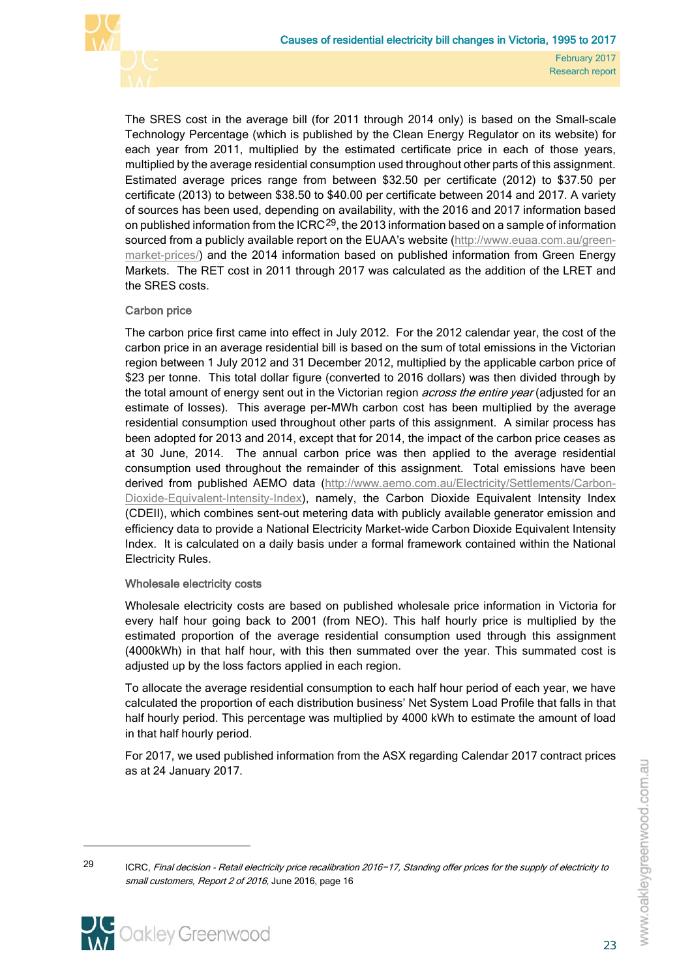

The SRES cost in the average bill (for 2011 through 2014 only) is based on the Small-scale Technology Percentage (which is published by the Clean Energy Regulator on its website) for each year from 2011, multiplied by the estimated certificate price in each of those years, multiplied by the average residential consumption used throughout other parts of this assignment. Estimated average prices range from between \$32.50 per certificate (2012) to \$37.50 per certificate (2013) to between \$38.50 to \$40.00 per certificate between 2014 and 2017. A variety of sources has been used, depending on availability, with the 2016 and 2017 information based on published information from the  $ICRC<sup>29</sup>$  $ICRC<sup>29</sup>$  $ICRC<sup>29</sup>$ , the 2013 information based on a sample of information sourced from a publicly available report on the EUAA's website [\(http://www.euaa.com.au/green](http://www.euaa.com.au/green-market-prices/)[market-prices/\)](http://www.euaa.com.au/green-market-prices/) and the 2014 information based on published information from Green Energy Markets. The RET cost in 2011 through 2017 was calculated as the addition of the LRET and the SRES costs.

# Carbon price

The carbon price first came into effect in July 2012. For the 2012 calendar year, the cost of the carbon price in an average residential bill is based on the sum of total emissions in the Victorian region between 1 July 2012 and 31 December 2012, multiplied by the applicable carbon price of \$23 per tonne. This total dollar figure (converted to 2016 dollars) was then divided through by the total amount of energy sent out in the Victorian region *across the entire year* (adjusted for an estimate of losses). This average per-MWh carbon cost has been multiplied by the average residential consumption used throughout other parts of this assignment. A similar process has been adopted for 2013 and 2014, except that for 2014, the impact of the carbon price ceases as at 30 June, 2014. The annual carbon price was then applied to the average residential consumption used throughout the remainder of this assignment. Total emissions have been derived from published AEMO data [\(http://www.aemo.com.au/Electricity/Settlements/Carbon-](http://www.aemo.com.au/Electricity/Settlements/Carbon-Dioxide-Equivalent-Intensity-Index)[Dioxide-Equivalent-Intensity-Index\)](http://www.aemo.com.au/Electricity/Settlements/Carbon-Dioxide-Equivalent-Intensity-Index), namely, the Carbon Dioxide Equivalent Intensity Index (CDEII), which combines sent-out metering data with publicly available generator emission and efficiency data to provide a National Electricity Market-wide Carbon Dioxide Equivalent Intensity Index. It is calculated on a daily basis under a formal framework contained within the National Electricity Rules.

## Wholesale electricity costs

Wholesale electricity costs are based on published wholesale price information in Victoria for every half hour going back to 2001 (from NEO). This half hourly price is multiplied by the estimated proportion of the average residential consumption used through this assignment (4000kWh) in that half hour, with this then summated over the year. This summated cost is adjusted up by the loss factors applied in each region.

To allocate the average residential consumption to each half hour period of each year, we have calculated the proportion of each distribution business' Net System Load Profile that falls in that half hourly period. This percentage was multiplied by 4000 kWh to estimate the amount of load in that half hourly period.

For 2017, we used published information from the ASX regarding Calendar 2017 contract prices as at 24 January 2017.

<span id="page-38-0"></span><sup>29</sup> ICRC, Final decision - Retail electricity price recalibration 2016−17, Standing offer prices for the supply of electricity to small customers, Report 2 of 2016, June 2016, page 16